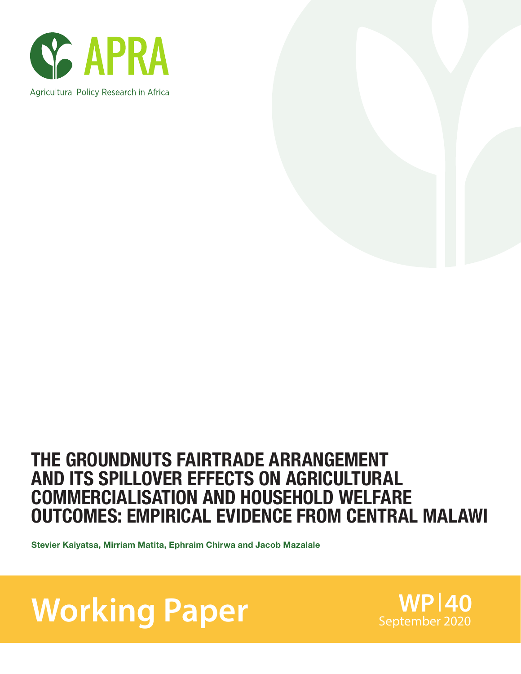



### THE GROUNDNUTS FAIRTRADE ARRANGEMENT AND ITS SPILLOVER EFFECTS ON AGRICULTURAL COMMERCIALISATION AND HOUSEHOLD WELFARE OUTCOMES: EMPIRICAL EVIDENCE FROM CENTRAL MALAWI

Stevier Kaiyatsa, Mirriam Matita, Ephraim Chirwa and Jacob Mazalale

Working Paper<br>
September 2020

**WP 40**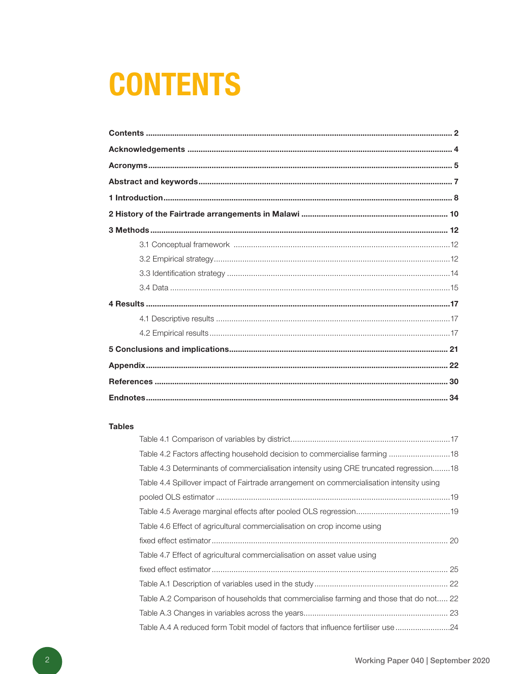# **CONTENTS**

### **Tables**

| Table 4.2 Factors affecting household decision to commercialise farming  18              |  |
|------------------------------------------------------------------------------------------|--|
| Table 4.3 Determinants of commercialisation intensity using CRE truncated regression18   |  |
| Table 4.4 Spillover impact of Fairtrade arrangement on commercialisation intensity using |  |
|                                                                                          |  |
|                                                                                          |  |
| Table 4.6 Effect of agricultural commercialisation on crop income using                  |  |
|                                                                                          |  |
| Table 4.7 Effect of agricultural commercialisation on asset value using                  |  |
|                                                                                          |  |
|                                                                                          |  |
| Table A.2 Comparison of households that commercialise farming and those that do not 22   |  |
|                                                                                          |  |
| Table A.4 A reduced form Tobit model of factors that influence fertiliser use 24         |  |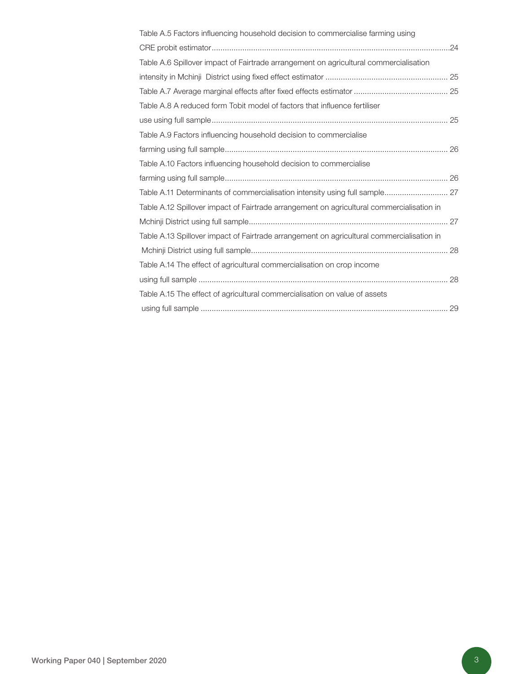| Table A.5 Factors influencing household decision to commercialise farming using           |
|-------------------------------------------------------------------------------------------|
|                                                                                           |
| Table A.6 Spillover impact of Fairtrade arrangement on agricultural commercialisation     |
|                                                                                           |
|                                                                                           |
| Table A.8 A reduced form Tobit model of factors that influence fertiliser                 |
|                                                                                           |
| Table A.9 Factors influencing household decision to commercialise                         |
|                                                                                           |
| Table A.10 Factors influencing household decision to commercialise                        |
|                                                                                           |
| Table A.11 Determinants of commercialisation intensity using full sample 27               |
| Table A.12 Spillover impact of Fairtrade arrangement on agricultural commercialisation in |
|                                                                                           |
| Table A.13 Spillover impact of Fairtrade arrangement on agricultural commercialisation in |
|                                                                                           |
| Table A.14 The effect of agricultural commercialisation on crop income                    |
|                                                                                           |
| Table A.15 The effect of agricultural commercialisation on value of assets                |
|                                                                                           |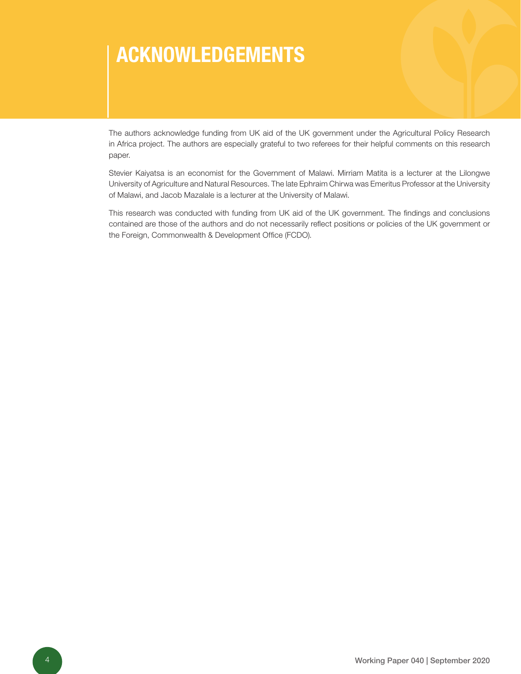# ACKNOWLEDGEMENTS

The authors acknowledge funding from UK aid of the UK government under the Agricultural Policy Research in Africa project. The authors are especially grateful to two referees for their helpful comments on this research paper.

Stevier Kaiyatsa is an economist for the Government of Malawi. Mirriam Matita is a lecturer at the Lilongwe University of Agriculture and Natural Resources. The late Ephraim Chirwa was Emeritus Professor at the University of Malawi, and Jacob Mazalale is a lecturer at the University of Malawi.

This research was conducted with funding from UK aid of the UK government. The findings and conclusions contained are those of the authors and do not necessarily reflect positions or policies of the UK government or the Foreign, Commonwealth & Development Office (FCDO).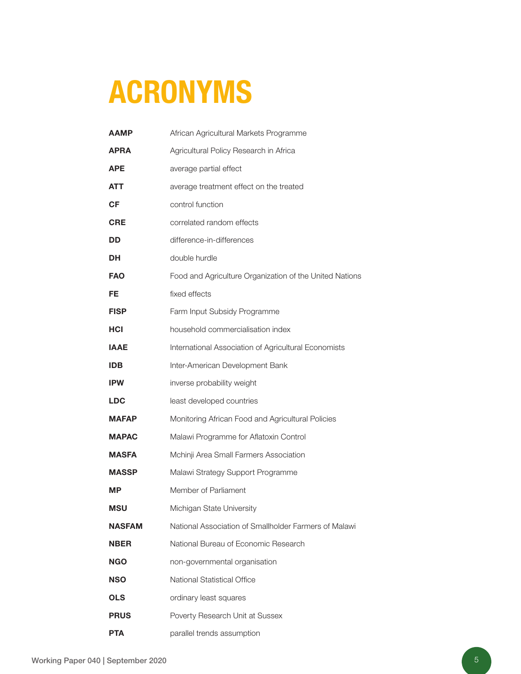# ACRONYMS

| <b>AAMP</b>  | African Agricultural Markets Programme                  |
|--------------|---------------------------------------------------------|
| <b>APRA</b>  | Agricultural Policy Research in Africa                  |
| APE          | average partial effect                                  |
| ATT          | average treatment effect on the treated                 |
| СF           | control function                                        |
| <b>CRE</b>   | correlated random effects                               |
| DD           | difference-in-differences                               |
| DH           | double hurdle                                           |
| <b>FAO</b>   | Food and Agriculture Organization of the United Nations |
| FE           | fixed effects                                           |
| <b>FISP</b>  | Farm Input Subsidy Programme                            |
| <b>HCI</b>   | household commercialisation index                       |
| <b>IAAE</b>  | International Association of Agricultural Economists    |
| <b>IDB</b>   | Inter-American Development Bank                         |
| <b>IPW</b>   | inverse probability weight                              |
| <b>LDC</b>   | least developed countries                               |
| <b>MAFAP</b> | Monitoring African Food and Agricultural Policies       |
| <b>MAPAC</b> | Malawi Programme for Aflatoxin Control                  |
| <b>MASFA</b> | Mchinji Area Small Farmers Association                  |
| <b>MASSP</b> | Malawi Strategy Support Programme                       |
| МP           | Member of Parliament                                    |
| <b>MSU</b>   | Michigan State University                               |
| NASFAM       | National Association of Smallholder Farmers of Malawi   |
| <b>NBER</b>  | National Bureau of Economic Research                    |
| <b>NGO</b>   | non-governmental organisation                           |
| <b>NSO</b>   | National Statistical Office                             |
| <b>OLS</b>   | ordinary least squares                                  |
| <b>PRUS</b>  | Poverty Research Unit at Sussex                         |
| <b>PTA</b>   | parallel trends assumption                              |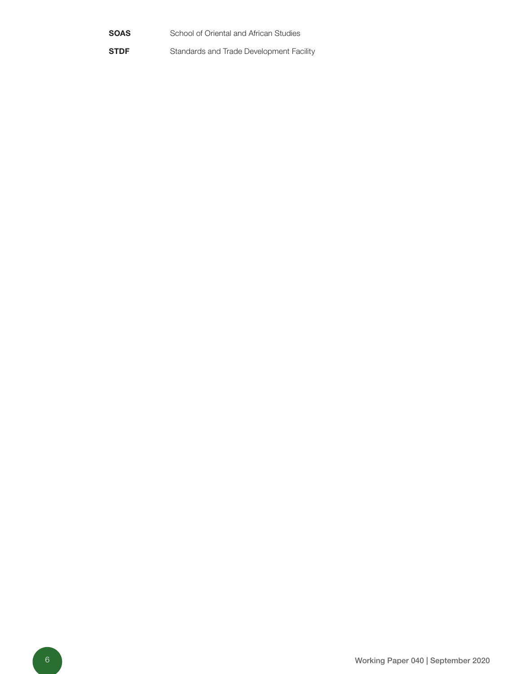- **SOAS** School of Oriental and African Studies
- **STDF** Standards and Trade Development Facility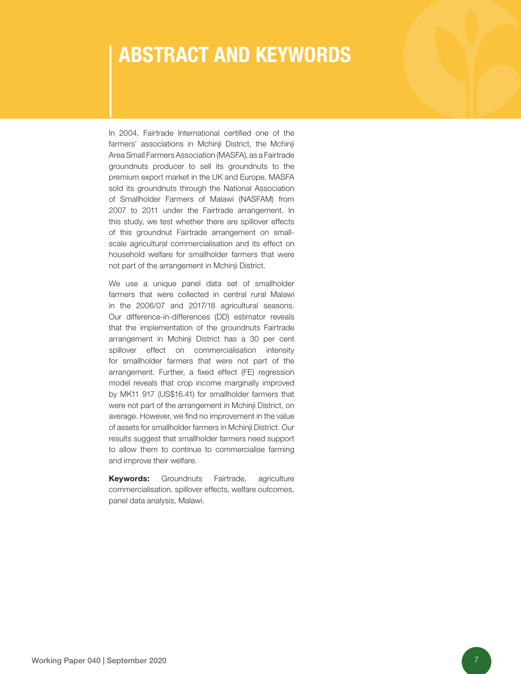## ABSTRACT AND KEYWORDS

In 2004, Fairtrade International certified one of the farmers' associations in Mchinji District, the Mchinji Area Small Farmers Association (MASFA), as a Fairtrade groundnuts producer to sell its groundnuts to the premium export market in the UK and Europe. MASFA sold its groundnuts through the National Association of Smallholder Farmers of Malawi (NASFAM) from 2007 to 2011 under the Fairtrade arrangement. In this study, we test whether there are spillover effects of this groundnut Fairtrade arrangement on smallscale agricultural commercialisation and its effect on household welfare for smallholder farmers that were not part of the arrangement in Mchinji District.

We use a unique panel data set of smallholder farmers that were collected in central rural Malawi in the 2006/07 and 2017/18 agricultural seasons. Our difference-in-differences (DD) estimator reveals that the implementation of the groundnuts Fairtrade arrangement in Mchinji District has a 30 per cent spillover effect on commercialisation intensity for smallholder farmers that were not part of the arrangement. Further, a fixed effect (FE) regression model reveals that crop income marginally improved by MK11 917 (US\$16.41) for smallholder farmers that were not part of the arrangement in Mchinji District, on average. However, we find no improvement in the value of assets for smallholder farmers in Mchinji District. Our results suggest that smallholder farmers need support to allow them to continue to commercialise farming and improve their welfare.

Keywords: Groundnuts Fairtrade, agriculture commercialisation, spillover effects, welfare outcomes, panel data analysis, Malawi.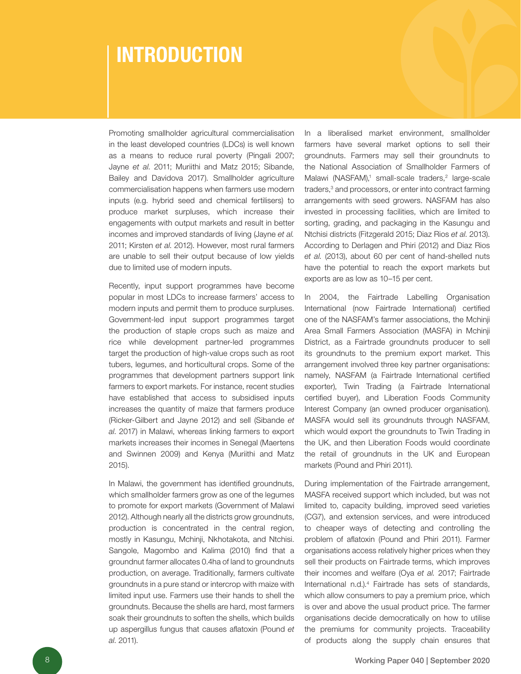# INTRODUCTION

Promoting smallholder agricultural commercialisation in the least developed countries (LDCs) is well known as a means to reduce rural poverty (Pingali 2007; Jayne *et al*. 2011; Muriithi and Matz 2015; Sibande, Bailey and Davidova 2017). Smallholder agriculture commercialisation happens when farmers use modern inputs (e.g. hybrid seed and chemical fertilisers) to produce market surpluses, which increase their engagements with output markets and result in better incomes and improved standards of living (Jayne *et al.*  2011; Kirsten *et al*. 2012). However, most rural farmers are unable to sell their output because of low yields due to limited use of modern inputs.

Recently, input support programmes have become popular in most LDCs to increase farmers' access to modern inputs and permit them to produce surpluses. Government-led input support programmes target the production of staple crops such as maize and rice while development partner-led programmes target the production of high-value crops such as root tubers, legumes, and horticultural crops. Some of the programmes that development partners support link farmers to export markets. For instance, recent studies have established that access to subsidised inputs increases the quantity of maize that farmers produce (Ricker-Gilbert and Jayne 2012) and sell (Sibande *et al*. 2017) in Malawi, whereas linking farmers to export markets increases their incomes in Senegal (Maertens and Swinnen 2009) and Kenya (Muriithi and Matz 2015).

In Malawi, the government has identified groundnuts, which smallholder farmers grow as one of the legumes to promote for export markets (Government of Malawi 2012). Although nearly all the districts grow groundnuts, production is concentrated in the central region, mostly in Kasungu, Mchinji, Nkhotakota, and Ntchisi. Sangole, Magombo and Kalima (2010) find that a groundnut farmer allocates 0.4ha of land to groundnuts production, on average. Traditionally, farmers cultivate groundnuts in a pure stand or intercrop with maize with limited input use. Farmers use their hands to shell the groundnuts. Because the shells are hard, most farmers soak their groundnuts to soften the shells, which builds up aspergillus fungus that causes aflatoxin (Pound *et al*. 2011).

In a liberalised market environment, smallholder farmers have several market options to sell their groundnuts. Farmers may sell their groundnuts to the National Association of Smallholder Farmers of Malawi (NASFAM),<sup>1</sup> small-scale traders,<sup>2</sup> large-scale traders,<sup>3</sup> and processors, or enter into contract farming arrangements with seed growers. NASFAM has also invested in processing facilities, which are limited to sorting, grading, and packaging in the Kasungu and Ntchisi districts (Fitzgerald 2015; Diaz Rios *et al*. 2013). According to Derlagen and Phiri (2012) and Diaz Rios *et al.* (2013), about 60 per cent of hand-shelled nuts have the potential to reach the export markets but exports are as low as 10–15 per cent.

In 2004, the Fairtrade Labelling Organisation International (now Fairtrade International) certified one of the NASFAM's farmer associations, the Mchinji Area Small Farmers Association (MASFA) in Mchinji District, as a Fairtrade groundnuts producer to sell its groundnuts to the premium export market. This arrangement involved three key partner organisations: namely, NASFAM (a Fairtrade International certified exporter), Twin Trading (a Fairtrade International certified buyer), and Liberation Foods Community Interest Company (an owned producer organisation). MASFA would sell its groundnuts through NASFAM, which would export the groundnuts to Twin Trading in the UK, and then Liberation Foods would coordinate the retail of groundnuts in the UK and European markets (Pound and Phiri 2011).

During implementation of the Fairtrade arrangement, MASFA received support which included, but was not limited to, capacity building, improved seed varieties (CG7), and extension services, and were introduced to cheaper ways of detecting and controlling the problem of aflatoxin (Pound and Phiri 2011). Farmer organisations access relatively higher prices when they sell their products on Fairtrade terms, which improves their incomes and welfare (Oya *et al.* 2017; Fairtrade International n.d.).4 Fairtrade has sets of standards, which allow consumers to pay a premium price, which is over and above the usual product price. The farmer organisations decide democratically on how to utilise the premiums for community projects. Traceability of products along the supply chain ensures that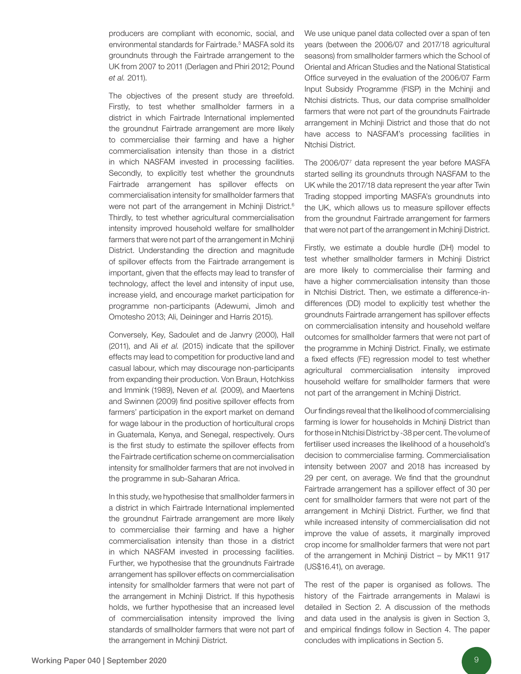producers are compliant with economic, social, and environmental standards for Fairtrade.<sup>5</sup> MASFA sold its groundnuts through the Fairtrade arrangement to the UK from 2007 to 2011 (Derlagen and Phiri 2012; Pound *et al.* 2011).

The objectives of the present study are threefold. Firstly, to test whether smallholder farmers in a district in which Fairtrade International implemented the groundnut Fairtrade arrangement are more likely to commercialise their farming and have a higher commercialisation intensity than those in a district in which NASFAM invested in processing facilities. Secondly, to explicitly test whether the groundnuts Fairtrade arrangement has spillover effects on commercialisation intensity for smallholder farmers that were not part of the arrangement in Mchinji District.<sup>6</sup> Thirdly, to test whether agricultural commercialisation intensity improved household welfare for smallholder farmers that were not part of the arrangement in Mchinji District. Understanding the direction and magnitude of spillover effects from the Fairtrade arrangement is important, given that the effects may lead to transfer of technology, affect the level and intensity of input use, increase yield, and encourage market participation for programme non-participants (Adewumi, Jimoh and Omotesho 2013; Ali, Deininger and Harris 2015).

Conversely, Key, Sadoulet and de Janvry (2000), Hall (2011), and Ali *et al.* (2015) indicate that the spillover effects may lead to competition for productive land and casual labour, which may discourage non-participants from expanding their production. Von Braun, Hotchkiss and Immink (1989), Neven *et al.* (2009), and Maertens and Swinnen (2009) find positive spillover effects from farmers' participation in the export market on demand for wage labour in the production of horticultural crops in Guatemala, Kenya, and Senegal, respectively. Ours is the first study to estimate the spillover effects from the Fairtrade certification scheme on commercialisation intensity for smallholder farmers that are not involved in the programme in sub-Saharan Africa.

In this study, we hypothesise that smallholder farmers in a district in which Fairtrade International implemented the groundnut Fairtrade arrangement are more likely to commercialise their farming and have a higher commercialisation intensity than those in a district in which NASFAM invested in processing facilities. Further, we hypothesise that the groundnuts Fairtrade arrangement has spillover effects on commercialisation intensity for smallholder farmers that were not part of the arrangement in Mchinji District. If this hypothesis holds, we further hypothesise that an increased level of commercialisation intensity improved the living standards of smallholder farmers that were not part of the arrangement in Mchinji District.

We use unique panel data collected over a span of ten years (between the 2006/07 and 2017/18 agricultural seasons) from smallholder farmers which the School of Oriental and African Studies and the National Statistical Office surveyed in the evaluation of the 2006/07 Farm Input Subsidy Programme (FISP) in the Mchinji and Ntchisi districts. Thus, our data comprise smallholder farmers that were not part of the groundnuts Fairtrade arrangement in Mchinji District and those that do not have access to NASFAM's processing facilities in Ntchisi District.

The 2006/07<sup>7</sup> data represent the year before MASFA started selling its groundnuts through NASFAM to the UK while the 2017/18 data represent the year after Twin Trading stopped importing MASFA's groundnuts into the UK, which allows us to measure spillover effects from the groundnut Fairtrade arrangement for farmers that were not part of the arrangement in Mchinji District.

Firstly, we estimate a double hurdle (DH) model to test whether smallholder farmers in Mchinji District are more likely to commercialise their farming and have a higher commercialisation intensity than those in Ntchisi District. Then, we estimate a difference-indifferences (DD) model to explicitly test whether the groundnuts Fairtrade arrangement has spillover effects on commercialisation intensity and household welfare outcomes for smallholder farmers that were not part of the programme in Mchinii District. Finally, we estimate a fixed effects (FE) regression model to test whether agricultural commercialisation intensity improved household welfare for smallholder farmers that were not part of the arrangement in Mchinji District.

Our findings reveal that the likelihood of commercialising farming is lower for households in Mchinji District than for those in Ntchisi District by -38 per cent. The volume of fertiliser used increases the likelihood of a household's decision to commercialise farming. Commercialisation intensity between 2007 and 2018 has increased by 29 per cent, on average. We find that the groundnut Fairtrade arrangement has a spillover effect of 30 per cent for smallholder farmers that were not part of the arrangement in Mchinji District. Further, we find that while increased intensity of commercialisation did not improve the value of assets, it marginally improved crop income for smallholder farmers that were not part of the arrangement in Mchinji District – by MK11 917 (US\$16.41), on average.

The rest of the paper is organised as follows. The history of the Fairtrade arrangements in Malawi is detailed in Section 2. A discussion of the methods and data used in the analysis is given in Section 3, and empirical findings follow in Section 4. The paper concludes with implications in Section 5.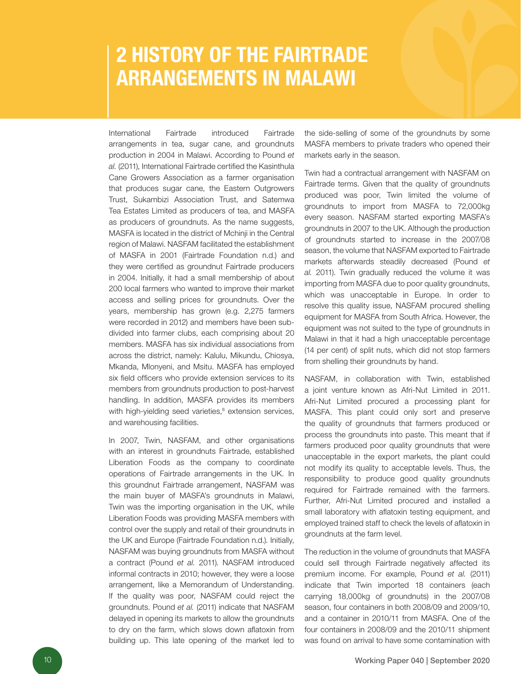# 2 HISTORY OF THE FAIRTRADE ARRANGEMENTS IN MALAWI

International Fairtrade introduced Fairtrade arrangements in tea, sugar cane, and groundnuts production in 2004 in Malawi. According to Pound *et al.* (2011), International Fairtrade certified the Kasinthula Cane Growers Association as a farmer organisation that produces sugar cane, the Eastern Outgrowers Trust, Sukambizi Association Trust, and Satemwa Tea Estates Limited as producers of tea, and MASFA as producers of groundnuts. As the name suggests, MASFA is located in the district of Mchinji in the Central region of Malawi. NASFAM facilitated the establishment of MASFA in 2001 (Fairtrade Foundation n.d.) and they were certified as groundnut Fairtrade producers in 2004. Initially, it had a small membership of about 200 local farmers who wanted to improve their market access and selling prices for groundnuts. Over the years, membership has grown (e.g. 2,275 farmers were recorded in 2012) and members have been subdivided into farmer clubs, each comprising about 20 members. MASFA has six individual associations from across the district, namely: Kalulu, Mikundu, Chiosya, Mkanda, Mlonyeni, and Msitu. MASFA has employed six field officers who provide extension services to its members from groundnuts production to post-harvest handling. In addition, MASFA provides its members with high-yielding seed varieties,<sup>8</sup> extension services, and warehousing facilities.

In 2007, Twin, NASFAM, and other organisations with an interest in groundnuts Fairtrade, established Liberation Foods as the company to coordinate operations of Fairtrade arrangements in the UK. In this groundnut Fairtrade arrangement, NASFAM was the main buyer of MASFA's groundnuts in Malawi, Twin was the importing organisation in the UK, while Liberation Foods was providing MASFA members with control over the supply and retail of their groundnuts in the UK and Europe (Fairtrade Foundation n.d.). Initially, NASFAM was buying groundnuts from MASFA without a contract (Pound *et al.* 2011). NASFAM introduced informal contracts in 2010; however, they were a loose arrangement, like a Memorandum of Understanding. If the quality was poor, NASFAM could reject the groundnuts. Pound *et al.* (2011) indicate that NASFAM delayed in opening its markets to allow the groundnuts to dry on the farm, which slows down aflatoxin from building up. This late opening of the market led to

the side-selling of some of the groundnuts by some MASFA members to private traders who opened their markets early in the season.

Twin had a contractual arrangement with NASFAM on Fairtrade terms. Given that the quality of groundnuts produced was poor, Twin limited the volume of groundnuts to import from MASFA to 72,000kg every season. NASFAM started exporting MASFA's groundnuts in 2007 to the UK. Although the production of groundnuts started to increase in the 2007/08 season, the volume that NASFAM exported to Fairtrade markets afterwards steadily decreased (Pound *et al.* 2011). Twin gradually reduced the volume it was importing from MASFA due to poor quality groundnuts, which was unacceptable in Europe. In order to resolve this quality issue, NASFAM procured shelling equipment for MASFA from South Africa. However, the equipment was not suited to the type of groundnuts in Malawi in that it had a high unacceptable percentage (14 per cent) of split nuts, which did not stop farmers from shelling their groundnuts by hand.

NASFAM, in collaboration with Twin, established a joint venture known as Afri-Nut Limited in 2011. Afri-Nut Limited procured a processing plant for MASFA. This plant could only sort and preserve the quality of groundnuts that farmers produced or process the groundnuts into paste. This meant that if farmers produced poor quality groundnuts that were unacceptable in the export markets, the plant could not modify its quality to acceptable levels. Thus, the responsibility to produce good quality groundnuts required for Fairtrade remained with the farmers. Further, Afri-Nut Limited procured and installed a small laboratory with aflatoxin testing equipment, and employed trained staff to check the levels of aflatoxin in groundnuts at the farm level.

The reduction in the volume of groundnuts that MASFA could sell through Fairtrade negatively affected its premium income. For example, Pound *et al.* (2011) indicate that Twin imported 18 containers (each carrying 18,000kg of groundnuts) in the 2007/08 season, four containers in both 2008/09 and 2009/10, and a container in 2010/11 from MASFA. One of the four containers in 2008/09 and the 2010/11 shipment was found on arrival to have some contamination with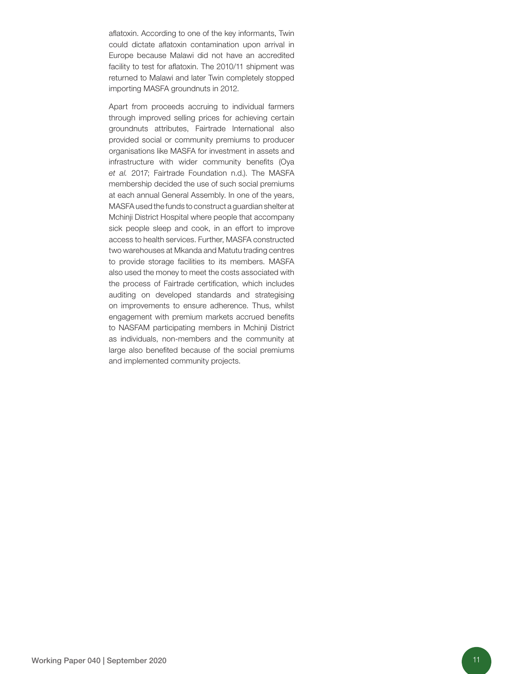aflatoxin. According to one of the key informants, Twin could dictate aflatoxin contamination upon arrival in Europe because Malawi did not have an accredited facility to test for aflatoxin. The 2010/11 shipment was returned to Malawi and later Twin completely stopped importing MASFA groundnuts in 2012.

Apart from proceeds accruing to individual farmers through improved selling prices for achieving certain groundnuts attributes, Fairtrade International also provided social or community premiums to producer organisations like MASFA for investment in assets and infrastructure with wider community benefits (Oya *et al.* 2017; Fairtrade Foundation n.d.). The MASFA membership decided the use of such social premiums at each annual General Assembly. In one of the years, MASFA used the funds to construct a guardian shelter at Mchinji District Hospital where people that accompany sick people sleep and cook, in an effort to improve access to health services. Further, MASFA constructed two warehouses at Mkanda and Matutu trading centres to provide storage facilities to its members. MASFA also used the money to meet the costs associated with the process of Fairtrade certification, which includes auditing on developed standards and strategising on improvements to ensure adherence. Thus, whilst engagement with premium markets accrued benefits to NASFAM participating members in Mchinji District as individuals, non-members and the community at large also benefited because of the social premiums and implemented community projects.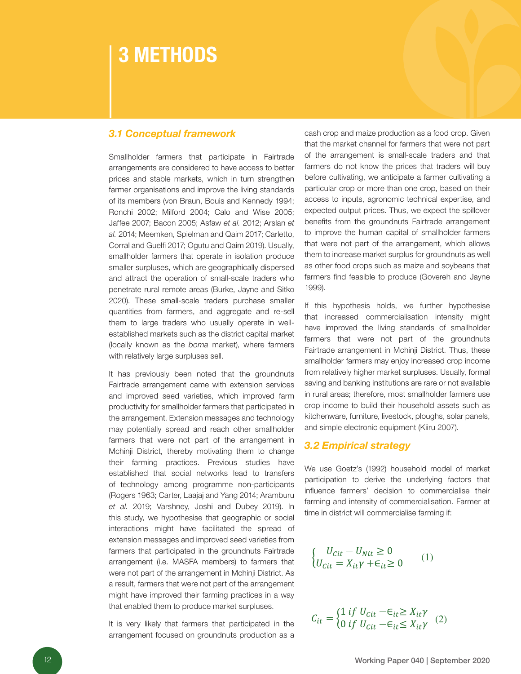## 3 METHODS

### *3.1 Conceptual framework*

Smallholder farmers that participate in Fairtrade arrangements are considered to have access to better prices and stable markets, which in turn strengthen farmer organisations and improve the living standards of its members (von Braun, Bouis and Kennedy 1994; Ronchi 2002; Milford 2004; Calo and Wise 2005; Jaffee 2007; Bacon 2005; Asfaw *et al.* 2012; Arslan *et al.* 2014; Meemken, Spielman and Qaim 2017; Carletto, Corral and Guelfi 2017; Ogutu and Qaim 2019). Usually, smallholder farmers that operate in isolation produce smaller surpluses, which are geographically dispersed and attract the operation of small-scale traders who penetrate rural remote areas (Burke, Jayne and Sitko 2020). These small-scale traders purchase smaller quantities from farmers, and aggregate and re-sell them to large traders who usually operate in wellestablished markets such as the district capital market (locally known as the *boma* market), where farmers with relatively large surpluses sell.

It has previously been noted that the groundnuts Fairtrade arrangement came with extension services and improved seed varieties, which improved farm productivity for smallholder farmers that participated in the arrangement. Extension messages and technology may potentially spread and reach other smallholder farmers that were not part of the arrangement in Mchinji District, thereby motivating them to change their farming practices. Previous studies have established that social networks lead to transfers of technology among programme non-participants (Rogers 1963; Carter, Laajaj and Yang 2014; Aramburu *et al.* 2019; Varshney, Joshi and Dubey 2019). In this study, we hypothesise that geographic or social interactions might have facilitated the spread of extension messages and improved seed varieties from farmers that participated in the groundnuts Fairtrade arrangement (i.e. MASFA members) to farmers that were not part of the arrangement in Mchinji District. As a result, farmers that were not part of the arrangement might have improved their farming practices in a way that enabled them to produce market surpluses.

It is very likely that farmers that participated in the arrangement focused on groundnuts production as a cash crop and maize production as a food crop. Given that the market channel for farmers that were not part of the arrangement is small-scale traders and that farmers do not know the prices that traders will buy before cultivating, we anticipate a farmer cultivating a particular crop or more than one crop, based on their access to inputs, agronomic technical expertise, and expected output prices. Thus, we expect the spillover benefits from the groundnuts Fairtrade arrangement to improve the human capital of smallholder farmers that were not part of the arrangement, which allows them to increase market surplus for groundnuts as well as other food crops such as maize and soybeans that farmers find feasible to produce (Govereh and Jayne 1999).

If this hypothesis holds, we further hypothesise that increased commercialisation intensity might have improved the living standards of smallholder farmers that were not part of the groundnuts Fairtrade arrangement in Mchinji District. Thus, these smallholder farmers may enjoy increased crop income from relatively higher market surpluses. Usually, formal saving and banking institutions are rare or not available in rural areas; therefore, most smallholder farmers use crop income to build their household assets such as kitchenware, furniture, livestock, ploughs, solar panels, and simple electronic equipment (Kiiru 2007).

#### *3.2 Empirical strategy*

We use Goetz's (1992) household model of market participation to derive the underlying factors that influence farmers' decision to commercialise their farming and intensity of commercialisation. Farmer at time in district will commercialise farming if:

$$
\begin{cases}\nU_{\text{Cit}} - U_{\text{Nit}} \ge 0 \\
U_{\text{Cit}} = X_{\text{it}} \gamma + \epsilon_{\text{it}} \ge 0\n\end{cases} (1)
$$

$$
C_{it} = \begin{cases} 1 \text{ if } U_{cit} - \epsilon_{it} \ge X_{it} \gamma \\ 0 \text{ if } U_{cit} - \epsilon_{it} \le X_{it} \gamma \end{cases} (2)
$$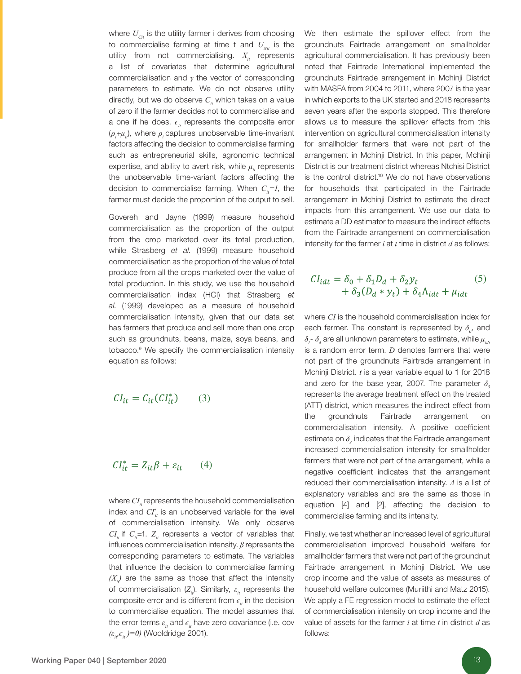where  $U_{\text{cut}}$  is the utility farmer i derives from choosing to commercialise farming at time t and  $U_{Nit}$  is the utility from not commercialising.  $X_{it}$  represents a list of covariates that determine agricultural commercialisation and *γ* the vector of corresponding parameters to estimate. We do not observe utility directly, but we do observe  $C<sub>i</sub>$  which takes on a value of zero if the farmer decides not to commercialise and a one if he does.  $\epsilon_i$  represents the composite error  $(\rho_i + \mu_i)$ , where  $\rho_i$  captures unobservable time-invariant factors affecting the decision to commercialise farming such as entrepreneurial skills, agronomic technical expertise, and ability to avert risk, while *μ*<sub>is</sub> represents the unobservable time-variant factors affecting the decision to commercialise farming. When  $C_i = I$ , the farmer must decide the proportion of the output to sell.

Govereh and Jayne (1999) measure household commercialisation as the proportion of the output from the crop marketed over its total production, while Strasberg *et al.* (1999) measure household commercialisation as the proportion of the value of total produce from all the crops marketed over the value of total production. In this study, we use the household commercialisation index (HCI) that Strasberg *et al.* (1999) developed as a measure of household commercialisation intensity, given that our data set has farmers that produce and sell more than one crop such as groundnuts, beans, maize, soya beans, and tobacco.9 We specify the commercialisation intensity equation as follows:

$$
CI_{it} = C_{it}(CI_{it}^*) \tag{3}
$$

$$
CI_{it}^* = Z_{it}\beta + \varepsilon_{it} \qquad (4)
$$

where  $CI<sub>i</sub>$  represents the household commercialisation index and  $CI^*_{ii}$  is an unobserved variable for the level of commercialisation intensity. We only observe  $CI<sub>i</sub>$  if  $C<sub>i</sub>$ =1.  $Z<sub>i</sub>$  represents a vector of variables that influences commercialisation intensity. *β* represents the corresponding parameters to estimate. The variables that influence the decision to commercialise farming  $(X<sub>i</sub>)$  are the same as those that affect the intensity of commercialisation  $(Z_{ij})$ . Similarly,  $\varepsilon_{ij}$  represents the composite error and is different from  $\epsilon$ <sup>*i*</sup> in the decision to commercialise equation. The model assumes that the error terms  $\varepsilon_i$  and  $\epsilon_i$  have zero covariance (i.e. cov *(ε<sub>it</sub>* $\epsilon$ <sup>*i*</sup>*(ε<sub>it</sub>)=0)* (Wooldridge 2001).

We then estimate the spillover effect from the groundnuts Fairtrade arrangement on smallholder agricultural commercialisation. It has previously been noted that Fairtrade International implemented the groundnuts Fairtrade arrangement in Mchinji District with MASFA from 2004 to 2011, where 2007 is the year in which exports to the UK started and 2018 represents seven years after the exports stopped. This therefore allows us to measure the spillover effects from this intervention on agricultural commercialisation intensity for smallholder farmers that were not part of the arrangement in Mchinji District. In this paper, Mchinji District is our treatment district whereas Ntchisi District is the control district.<sup>10</sup> We do not have observations for households that participated in the Fairtrade arrangement in Mchinji District to estimate the direct impacts from this arrangement. We use our data to estimate a DD estimator to measure the indirect effects from the Fairtrade arrangement on commercialisation intensity for the farmer *i* at *t* time in district *d* as follows:

$$
CI_{idt} = \delta_0 + \delta_1 D_d + \delta_2 y_t
$$
  
+  $\delta_3 (D_d * y_t) + \delta_4 \Lambda_{idt} + \mu_{idt}$  (5)

where *CI* is the household commercialisation index for each farmer. The constant is represented by  $\delta_{\scriptscriptstyle{\theta}}$ , and  $\delta$ <sub>*l*</sub>-  $\delta$ <sub>4</sub> are all unknown parameters to estimate, while  $\mu$ <sub>idt</sub> is a random error term. *D* denotes farmers that were not part of the groundnuts Fairtrade arrangement in Mchinji District. *t* is a year variable equal to 1 for 2018 and zero for the base year, 2007. The parameter  $\delta$ , represents the average treatment effect on the treated (ATT) district, which measures the indirect effect from the groundnuts Fairtrade arrangement on commercialisation intensity. A positive coefficient estimate on  $\delta_{\scriptscriptstyle{3}}$  indicates that the Fairtrade arrangement increased commercialisation intensity for smallholder farmers that were not part of the arrangement, while a negative coefficient indicates that the arrangement reduced their commercialisation intensity. *Λ* is a list of explanatory variables and are the same as those in equation [4] and [2], affecting the decision to commercialise farming and its intensity.

Finally, we test whether an increased level of agricultural commercialisation improved household welfare for smallholder farmers that were not part of the groundnut Fairtrade arrangement in Mchinji District. We use crop income and the value of assets as measures of household welfare outcomes (Muriithi and Matz 2015). We apply a FE regression model to estimate the effect of commercialisation intensity on crop income and the value of assets for the farmer *i* at time *t* in district *d* as follows: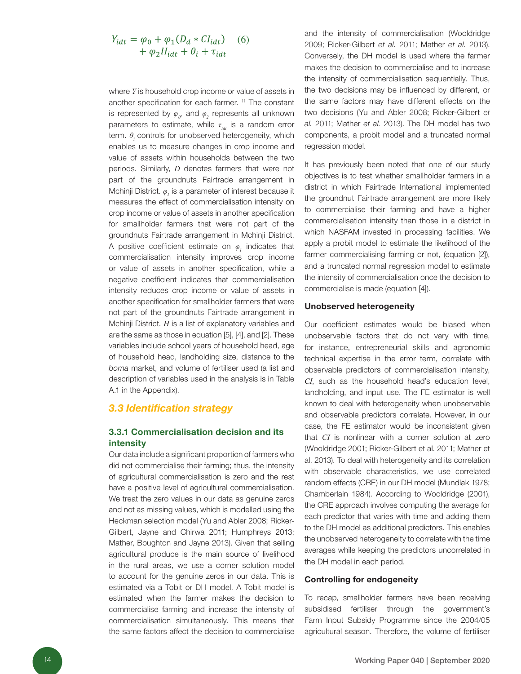$$
Y_{idt} = \varphi_0 + \varphi_1(D_d * CI_{idt})
$$
  
+ 
$$
\varphi_2 H_{idt} + \theta_i + \tau_{idt}
$$
 (6)

where *Y* is household crop income or value of assets in another specification for each farmer.<sup>11</sup> The constant is represented by  $\varphi_{\scriptscriptstyle p}$  and  $\varphi_{\scriptscriptstyle 2}$  represents all unknown parameters to estimate, while *τ<sub>idt</sub>* is a random error term. *θ<sup>i</sup>* controls for unobserved heterogeneity, which enables us to measure changes in crop income and value of assets within households between the two periods. Similarly, *D* denotes farmers that were not part of the groundnuts Fairtrade arrangement in Mchinji District.  $\varphi_{I}$  is a parameter of interest because it measures the effect of commercialisation intensity on crop income or value of assets in another specification for smallholder farmers that were not part of the groundnuts Fairtrade arrangement in Mchinji District. A positive coefficient estimate on *φ<sup>1</sup>* indicates that commercialisation intensity improves crop income or value of assets in another specification, while a negative coefficient indicates that commercialisation intensity reduces crop income or value of assets in another specification for smallholder farmers that were not part of the groundnuts Fairtrade arrangement in Mchinji District. *H* is a list of explanatory variables and are the same as those in equation [5], [4], and [2]. These variables include school years of household head, age of household head, landholding size, distance to the *boma* market, and volume of fertiliser used (a list and description of variables used in the analysis is in Table A.1 in the Appendix).

#### *3.3 Identification strategy*

#### 3.3.1 Commercialisation decision and its intensity

Our data include a significant proportion of farmers who did not commercialise their farming; thus, the intensity of agricultural commercialisation is zero and the rest have a positive level of agricultural commercialisation. We treat the zero values in our data as genuine zeros and not as missing values, which is modelled using the Heckman selection model (Yu and Abler 2008; Ricker-Gilbert, Jayne and Chirwa 2011; Humphreys 2013; Mather, Boughton and Jayne 2013). Given that selling agricultural produce is the main source of livelihood in the rural areas, we use a corner solution model to account for the genuine zeros in our data. This is estimated via a Tobit or DH model. A Tobit model is estimated when the farmer makes the decision to commercialise farming and increase the intensity of commercialisation simultaneously. This means that the same factors affect the decision to commercialise

and the intensity of commercialisation (Wooldridge 2009; Ricker-Gilbert *et al.* 2011; Mather *et al.* 2013). Conversely, the DH model is used where the farmer makes the decision to commercialise and to increase the intensity of commercialisation sequentially. Thus, the two decisions may be influenced by different, or the same factors may have different effects on the two decisions (Yu and Abler 2008; Ricker-Gilbert *et al.* 2011; Mather *et al.* 2013). The DH model has two components, a probit model and a truncated normal regression model.

It has previously been noted that one of our study objectives is to test whether smallholder farmers in a district in which Fairtrade International implemented the groundnut Fairtrade arrangement are more likely to commercialise their farming and have a higher commercialisation intensity than those in a district in which NASFAM invested in processing facilities. We apply a probit model to estimate the likelihood of the farmer commercialising farming or not, (equation [2]), and a truncated normal regression model to estimate the intensity of commercialisation once the decision to commercialise is made (equation [4]).

#### Unobserved heterogeneity

Our coefficient estimates would be biased when unobservable factors that do not vary with time, for instance, entrepreneurial skills and agronomic technical expertise in the error term, correlate with observable predictors of commercialisation intensity, *CI*, such as the household head's education level, landholding, and input use. The FE estimator is well known to deal with heterogeneity when unobservable and observable predictors correlate. However, in our case, the FE estimator would be inconsistent given that *CI* is nonlinear with a corner solution at zero (Wooldridge 2001; Ricker-Gilbert et al. 2011; Mather et al. 2013). To deal with heterogeneity and its correlation with observable characteristics, we use correlated random effects (CRE) in our DH model (Mundlak 1978; Chamberlain 1984). According to Wooldridge (2001), the CRE approach involves computing the average for each predictor that varies with time and adding them to the DH model as additional predictors. This enables the unobserved heterogeneity to correlate with the time averages while keeping the predictors uncorrelated in the DH model in each period.

#### Controlling for endogeneity

To recap, smallholder farmers have been receiving subsidised fertiliser through the government's Farm Input Subsidy Programme since the 2004/05 agricultural season. Therefore, the volume of fertiliser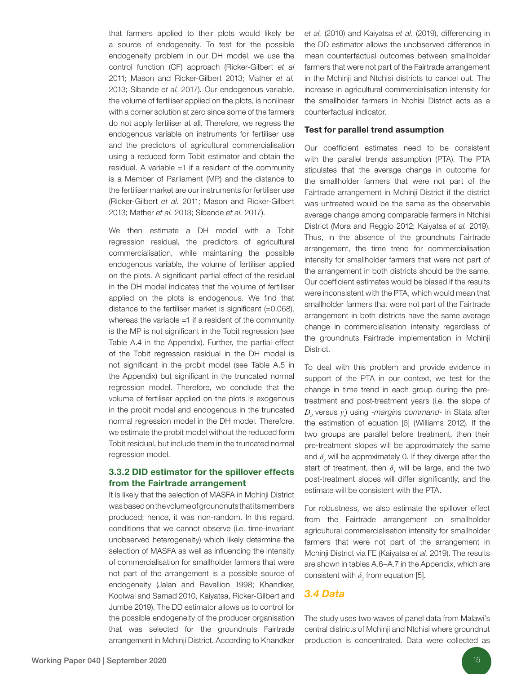that farmers applied to their plots would likely be a source of endogeneity. To test for the possible endogeneity problem in our DH model, we use the control function (CF) approach (Ricker-Gilbert *et al*  2011; Mason and Ricker-Gilbert 2013; Mather *et al.* 2013; Sibande *et al.* 2017). Our endogenous variable, the volume of fertiliser applied on the plots, is nonlinear with a corner solution at zero since some of the farmers do not apply fertiliser at all. Therefore, we regress the endogenous variable on instruments for fertiliser use and the predictors of agricultural commercialisation using a reduced form Tobit estimator and obtain the residual. A variable =1 if a resident of the community is a Member of Parliament (MP) and the distance to the fertiliser market are our instruments for fertiliser use (Ricker-Gilbert *et al.* 2011; Mason and Ricker-Gilbert 2013; Mather *et al.* 2013; Sibande *et al.* 2017).

We then estimate a DH model with a Tobit regression residual, the predictors of agricultural commercialisation, while maintaining the possible endogenous variable, the volume of fertiliser applied on the plots. A significant partial effect of the residual in the DH model indicates that the volume of fertiliser applied on the plots is endogenous. We find that distance to the fertiliser market is significant (=0.068), whereas the variable =1 if a resident of the community is the MP is not significant in the Tobit regression (see Table A.4 in the Appendix). Further, the partial effect of the Tobit regression residual in the DH model is not significant in the probit model (see Table A.5 in the Appendix) but significant in the truncated normal regression model. Therefore, we conclude that the volume of fertiliser applied on the plots is exogenous in the probit model and endogenous in the truncated normal regression model in the DH model. Therefore, we estimate the probit model without the reduced form Tobit residual, but include them in the truncated normal regression model.

#### 3.3.2 DID estimator for the spillover effects from the Fairtrade arrangement

It is likely that the selection of MASFA in Mchinji District was based on the volume of groundnuts that its members produced; hence, it was non-random. In this regard, conditions that we cannot observe (i.e. time-invariant unobserved heterogeneity) which likely determine the selection of MASFA as well as influencing the intensity of commercialisation for smallholder farmers that were not part of the arrangement is a possible source of endogeneity (Jalan and Ravallion 1998; Khandker, Koolwal and Samad 2010, Kaiyatsa, Ricker-Gilbert and Jumbe 2019). The DD estimator allows us to control for the possible endogeneity of the producer organisation that was selected for the groundnuts Fairtrade arrangement in Mchinji District. According to Khandker

*et al.* (2010) and Kaiyatsa *et al.* (2019), differencing in the DD estimator allows the unobserved difference in mean counterfactual outcomes between smallholder farmers that were not part of the Fairtrade arrangement in the Mchinji and Ntchisi districts to cancel out. The increase in agricultural commercialisation intensity for the smallholder farmers in Ntchisi District acts as a counterfactual indicator.

#### Test for parallel trend assumption

Our coefficient estimates need to be consistent with the parallel trends assumption (PTA). The PTA stipulates that the average change in outcome for the smallholder farmers that were not part of the Fairtrade arrangement in Mchinji District if the district was untreated would be the same as the observable average change among comparable farmers in Ntchisi District (Mora and Reggio 2012; Kaiyatsa *et al.* 2019). Thus, in the absence of the groundnuts Fairtrade arrangement, the time trend for commercialisation intensity for smallholder farmers that were not part of the arrangement in both districts should be the same. Our coefficient estimates would be biased if the results were inconsistent with the PTA, which would mean that smallholder farmers that were not part of the Fairtrade arrangement in both districts have the same average change in commercialisation intensity regardless of the groundnuts Fairtrade implementation in Mchinji District.

To deal with this problem and provide evidence in support of the PTA in our context, we test for the change in time trend in each group during the pretreatment and post-treatment years (i.e. the slope of  $D_d$  versus  $y_i$ ) using *-margins command-* in Stata after the estimation of equation [6] (Williams 2012). If the two groups are parallel before treatment, then their pre-treatment slopes will be approximately the same and  $\delta_j$  will be approximately 0. If they diverge after the start of treatment, then  $\delta$ <sub>3</sub> will be large, and the two post-treatment slopes will differ significantly, and the estimate will be consistent with the PTA.

For robustness, we also estimate the spillover effect from the Fairtrade arrangement on smallholder agricultural commercialisation intensity for smallholder farmers that were not part of the arrangement in Mchinji District via FE (Kaiyatsa *et al.* 2019). The results are shown in tables A.6–A.7 in the Appendix, which are consistent with  $\delta$ , from equation [5].

#### *3.4 Data*

The study uses two waves of panel data from Malawi's central districts of Mchinji and Ntchisi where groundnut production is concentrated. Data were collected as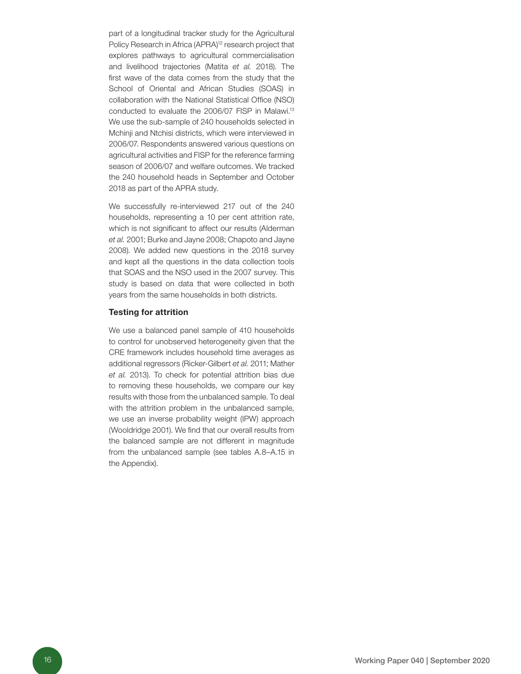part of a longitudinal tracker study for the Agricultural Policy Research in Africa (APRA)<sup>12</sup> research project that explores pathways to agricultural commercialisation and livelihood trajectories (Matita *et al.* 2018). The first wave of the data comes from the study that the School of Oriental and African Studies (SOAS) in collaboration with the National Statistical Office (NSO) conducted to evaluate the 2006/07 FISP in Malawi.<sup>13</sup> We use the sub-sample of 240 households selected in Mchinji and Ntchisi districts, which were interviewed in 2006/07. Respondents answered various questions on agricultural activities and FISP for the reference farming season of 2006/07 and welfare outcomes. We tracked the 240 household heads in September and October 2018 as part of the APRA study.

We successfully re-interviewed 217 out of the 240 households, representing a 10 per cent attrition rate, which is not significant to affect our results (Alderman *et al.* 2001; Burke and Jayne 2008; Chapoto and Jayne 2008). We added new questions in the 2018 survey and kept all the questions in the data collection tools that SOAS and the NSO used in the 2007 survey. This study is based on data that were collected in both years from the same households in both districts.

#### Testing for attrition

We use a balanced panel sample of 410 households to control for unobserved heterogeneity given that the CRE framework includes household time averages as additional regressors (Ricker-Gilbert *et al.* 2011; Mather *et al.* 2013). To check for potential attrition bias due to removing these households, we compare our key results with those from the unbalanced sample. To deal with the attrition problem in the unbalanced sample, we use an inverse probability weight (IPW) approach (Wooldridge 2001). We find that our overall results from the balanced sample are not different in magnitude from the unbalanced sample (see tables A.8–A.15 in the Appendix).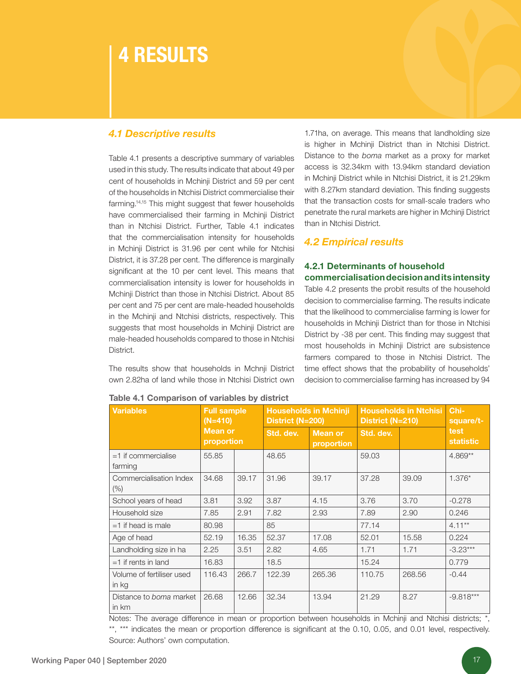# 4 RESULTS

### *4.1 Descriptive results*

Table 4.1 presents a descriptive summary of variables used in this study. The results indicate that about 49 per cent of households in Mchinji District and 59 per cent of the households in Ntchisi District commercialise their farming.<sup>14,15</sup> This might suggest that fewer households have commercialised their farming in Mchinji District than in Ntchisi District. Further, Table 4.1 indicates that the commercialisation intensity for households in Mchinji District is 31.96 per cent while for Ntchisi District, it is 37.28 per cent. The difference is marginally significant at the 10 per cent level. This means that commercialisation intensity is lower for households in Mchinji District than those in Ntchisi District. About 85 per cent and 75 per cent are male-headed households in the Mchinji and Ntchisi districts, respectively. This suggests that most households in Mchinji District are male-headed households compared to those in Ntchisi District.

The results show that households in Mchnji District own 2.82ha of land while those in Ntchisi District own

1.71ha, on average. This means that landholding size is higher in Mchinji District than in Ntchisi District. Distance to the *boma* market as a proxy for market access is 32.34km with 13.94km standard deviation in Mchinji District while in Ntchisi District, it is 21.29km with 8.27km standard deviation. This finding suggests that the transaction costs for small-scale traders who penetrate the rural markets are higher in Mchinji District than in Ntchisi District.

### *4.2 Empirical results*

#### 4.2.1 Determinants of household commercialisation decision and its intensity

Table 4.2 presents the probit results of the household decision to commercialise farming. The results indicate that the likelihood to commercialise farming is lower for households in Mchinji District than for those in Ntchisi District by -38 per cent. This finding may suggest that most households in Mchinji District are subsistence farmers compared to those in Ntchisi District. The time effect shows that the probability of households' decision to commercialise farming has increased by 94

| <b>Variables</b><br><b>Full sample</b><br>$(N=410)$ |                              | <b>Households in Mchinji</b><br>District (N=200) |           | <b>Households in Ntchisi</b><br>District (N=210) |           | Chi-<br>square/t- |                          |
|-----------------------------------------------------|------------------------------|--------------------------------------------------|-----------|--------------------------------------------------|-----------|-------------------|--------------------------|
|                                                     | <b>Mean or</b><br>proportion |                                                  | Std. dev. | <b>Mean or</b><br>proportion                     | Std. dev. |                   | test<br><b>statistic</b> |
| $=1$ if commercialise<br>farming                    | 55.85                        |                                                  | 48.65     |                                                  | 59.03     |                   | $4.869**$                |
| Commercialisation Index<br>$(\% )$                  | 34.68                        | 39.17                                            | 31.96     | 39.17                                            | 37.28     | 39.09             | $1.376*$                 |
| School years of head                                | 3.81                         | 3.92                                             | 3.87      | 4.15                                             | 3.76      | 3.70              | $-0.278$                 |
| Household size                                      | 7.85                         | 2.91                                             | 7.82      | 2.93                                             | 7.89      | 2.90              | 0.246                    |
| $=1$ if head is male                                | 80.98                        |                                                  | 85        |                                                  | 77.14     |                   | $4.11***$                |
| Age of head                                         | 52.19                        | 16.35                                            | 52.37     | 17.08                                            | 52.01     | 15.58             | 0.224                    |
| Landholding size in ha                              | 2.25                         | 3.51                                             | 2.82      | 4.65                                             | 1.71      | 1.71              | $-3.23***$               |
| $=1$ if rents in land                               | 16.83                        |                                                  | 18.5      |                                                  | 15.24     |                   | 0.779                    |
| Volume of fertiliser used<br>in kg                  | 116.43                       | 266.7                                            | 122.39    | 265.36                                           | 110.75    | 268.56            | $-0.44$                  |
| Distance to boma market<br>in km                    | 26.68                        | 12.66                                            | 32.34     | 13.94                                            | 21.29     | 8.27              | $-9.818***$              |

Table 4.1 Comparison of variables by district

Notes: The average difference in mean or proportion between households in Mchinji and Ntchisi districts; \*, \*\*, \*\*\* indicates the mean or proportion difference is significant at the 0.10, 0.05, and 0.01 level, respectively. Source: Authors' own computation.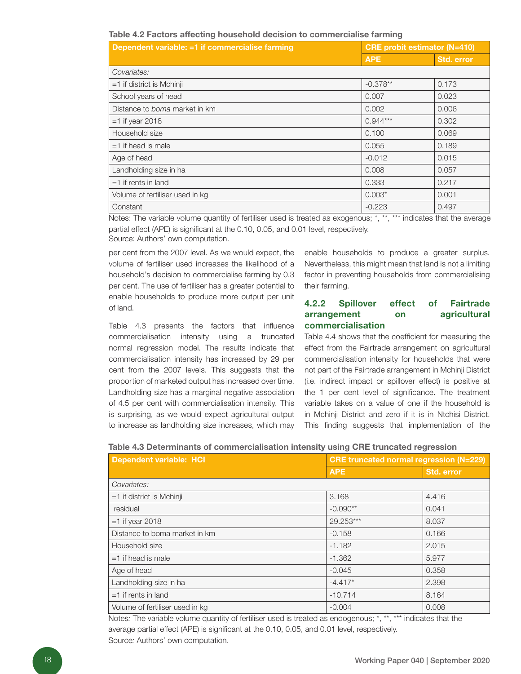#### Table 4.2 Factors affecting household decision to commercialise farming

| Dependent variable: =1 if commercialise farming | <b>CRE probit estimator (N=410)</b> |            |  |
|-------------------------------------------------|-------------------------------------|------------|--|
|                                                 | <b>APE</b>                          | Std. error |  |
| Covariates:                                     |                                     |            |  |
| $=1$ if district is Mchinji                     | $-0.378**$                          | 0.173      |  |
| School years of head                            | 0.007                               | 0.023      |  |
| Distance to <i>boma</i> market in km            | 0.002                               | 0.006      |  |
| $=1$ if year 2018                               | $0.944***$                          | 0.302      |  |
| Household size                                  | 0.100                               | 0.069      |  |
| $=1$ if head is male                            | 0.055                               | 0.189      |  |
| Age of head                                     | $-0.012$                            | 0.015      |  |
| Landholding size in ha                          | 0.008                               | 0.057      |  |
| $=1$ if rents in land                           | 0.333                               | 0.217      |  |
| Volume of fertiliser used in kg                 | $0.003*$                            | 0.001      |  |
| Constant                                        | $-0.223$                            | 0.497      |  |

Notes: The variable volume quantity of fertiliser used is treated as exogenous; \*, \*\*, \*\*\* indicates that the average partial effect (APE) is significant at the 0.10, 0.05, and 0.01 level, respectively. Source: Authors' own computation.

per cent from the 2007 level. As we would expect, the volume of fertiliser used increases the likelihood of a household's decision to commercialise farming by 0.3 per cent. The use of fertiliser has a greater potential to enable households to produce more output per unit of land.

Table 4.3 presents the factors that influence commercialisation intensity using a truncated normal regression model. The results indicate that commercialisation intensity has increased by 29 per cent from the 2007 levels. This suggests that the proportion of marketed output has increased over time. Landholding size has a marginal negative association of 4.5 per cent with commercialisation intensity. This is surprising, as we would expect agricultural output to increase as landholding size increases, which may

enable households to produce a greater surplus. Nevertheless, this might mean that land is not a limiting factor in preventing households from commercialising their farming.

#### 4.2.2 Spillover effect of Fairtrade arrangement on agricultural commercialisation

Table 4.4 shows that the coefficient for measuring the effect from the Fairtrade arrangement on agricultural commercialisation intensity for households that were not part of the Fairtrade arrangement in Mchinji District (i.e. indirect impact or spillover effect) is positive at the 1 per cent level of significance. The treatment variable takes on a value of one if the household is in Mchinji District and zero if it is in Ntchisi District. This finding suggests that implementation of the

| Table 4.3 Determinants of commercialisation intensity using CRE truncated regression |                                                                  |
|--------------------------------------------------------------------------------------|------------------------------------------------------------------|
| I Danandant variablas UOI                                                            | $\bigcap E$ trungeted normal requestion $\bigcap_{n=1}^{\infty}$ |

| <b>Dependent variable: HCI</b>  | <b>CRE truncated normal regression (N=229)</b> |            |  |
|---------------------------------|------------------------------------------------|------------|--|
|                                 | <b>APE</b>                                     | Std. error |  |
| Covariates:                     |                                                |            |  |
| $=1$ if district is Mchinji     | 3.168                                          | 4.416      |  |
| residual                        | $-0.090**$                                     | 0.041      |  |
| $=1$ if year 2018               | 29.253***                                      | 8.037      |  |
| Distance to boma market in km   | $-0.158$                                       | 0.166      |  |
| Household size                  | $-1.182$                                       | 2.015      |  |
| $=1$ if head is male            | $-1.362$                                       | 5.977      |  |
| Age of head                     | $-0.045$                                       | 0.358      |  |
| Landholding size in ha          | $-4.417*$                                      | 2.398      |  |
| $=1$ if rents in land           | $-10.714$                                      | 8.164      |  |
| Volume of fertiliser used in kg | $-0.004$                                       | 0.008      |  |

Notes*:* The variable volume quantity of fertiliser used is treated as endogenous; \*, \*\*, \*\*\* indicates that the average partial effect (APE) is significant at the 0.10, 0.05, and 0.01 level, respectively. Source*:* Authors' own computation.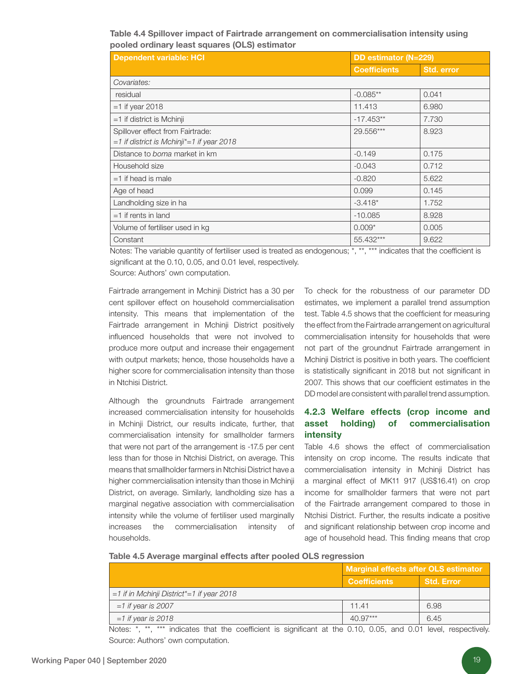Table 4.4 Spillover impact of Fairtrade arrangement on commercialisation intensity using pooled ordinary least squares (OLS) estimator

| <b>Dependent variable: HCI</b>                                                     | DD estimator (N=229) |                   |  |
|------------------------------------------------------------------------------------|----------------------|-------------------|--|
|                                                                                    | <b>Coefficients</b>  | <b>Std. error</b> |  |
| Covariates:                                                                        |                      |                   |  |
| residual                                                                           | $-0.085**$           | 0.041             |  |
| $=1$ if year 2018                                                                  | 11.413               | 6.980             |  |
| $=1$ if district is Mchinji                                                        | $-17.453**$          | 7.730             |  |
| Spillover effect from Fairtrade:<br>$=1$ if district is Mchinji* $=1$ if year 2018 | 29.556***            | 8.923             |  |
| Distance to boma market in km                                                      | $-0.149$             | 0.175             |  |
| Household size                                                                     | $-0.043$             | 0.712             |  |
| $=1$ if head is male                                                               | $-0.820$             | 5.622             |  |
| Age of head                                                                        | 0.099                | 0.145             |  |
| Landholding size in ha                                                             | $-3.418*$            | 1.752             |  |
| $=1$ if rents in land                                                              | $-10.085$            | 8.928             |  |
| Volume of fertiliser used in kg                                                    | $0.009*$             | 0.005             |  |
| Constant                                                                           | 55.432***            | 9.622             |  |

Notes: The variable quantity of fertiliser used is treated as endogenous; \*, \*\*, \*\*\* indicates that the coefficient is significant at the 0.10, 0.05, and 0.01 level, respectively.

Source: Authors' own computation.

Fairtrade arrangement in Mchinji District has a 30 per cent spillover effect on household commercialisation intensity. This means that implementation of the Fairtrade arrangement in Mchinji District positively influenced households that were not involved to produce more output and increase their engagement with output markets; hence, those households have a higher score for commercialisation intensity than those in Ntchisi District.

Although the groundnuts Fairtrade arrangement increased commercialisation intensity for households in Mchinji District, our results indicate, further, that commercialisation intensity for smallholder farmers that were not part of the arrangement is -17.5 per cent less than for those in Ntchisi District, on average. This means that smallholder farmers in Ntchisi District have a higher commercialisation intensity than those in Mchinji District, on average. Similarly, landholding size has a marginal negative association with commercialisation intensity while the volume of fertiliser used marginally increases the commercialisation intensity of households.

To check for the robustness of our parameter DD estimates, we implement a parallel trend assumption test. Table 4.5 shows that the coefficient for measuring the effect from the Fairtrade arrangement on agricultural commercialisation intensity for households that were not part of the groundnut Fairtrade arrangement in Mchinji District is positive in both years. The coefficient is statistically significant in 2018 but not significant in 2007. This shows that our coefficient estimates in the DD model are consistent with parallel trend assumption.

### 4.2.3 Welfare effects (crop income and asset holding) of commercialisation intensity

Table 4.6 shows the effect of commercialisation intensity on crop income. The results indicate that commercialisation intensity in Mchinji District has a marginal effect of MK11 917 (US\$16.41) on crop income for smallholder farmers that were not part of the Fairtrade arrangement compared to those in Ntchisi District. Further, the results indicate a positive and significant relationship between crop income and age of household head. This finding means that crop

|  |  |  |  | Table 4.5 Average marginal effects after pooled OLS regression |
|--|--|--|--|----------------------------------------------------------------|
|--|--|--|--|----------------------------------------------------------------|

|                                                | Marginal effects after OLS estimator |                   |  |
|------------------------------------------------|--------------------------------------|-------------------|--|
|                                                | <b>Coefficients</b>                  | <b>Std. Error</b> |  |
| $=1$ if in Mchinji District* $=1$ if year 2018 |                                      |                   |  |
| $=1$ if year is 2007                           | 11.41                                | 6.98              |  |
| $=1$ if year is 2018                           | $40.97***$                           | 6.45              |  |

Notes: \*, \*\*, \*\*\* indicates that the coefficient is significant at the 0.10, 0.05, and 0.01 level, respectively. Source: Authors' own computation.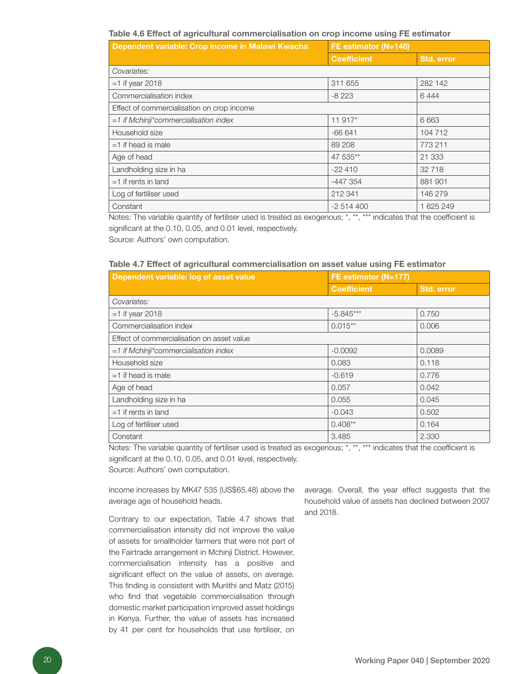#### Table 4.6 Effect of agricultural commercialisation on crop income using FE estimator

| Dependent variable: Crop income in Malawi Kwacha | FE estimator (N=146) |            |
|--------------------------------------------------|----------------------|------------|
|                                                  | <b>Coefficient</b>   | Std. error |
| Covariates:                                      |                      |            |
| $=1$ if year 2018                                | 311 655              | 282 142    |
| Commercialisation index                          | $-8223$              | 6444       |
| Effect of commercialisation on crop income       |                      |            |
| $=1$ if Mchinji*commercialisation index          | 11 917*              | 6 6 6 3    |
| Household size                                   | $-66641$             | 104 712    |
| $=1$ if head is male                             | 89 208               | 773 211    |
| Age of head                                      | 47 535**             | 21 333     |
| Landholding size in ha                           | $-22410$             | 32 718     |
| $=1$ if rents in land                            | $-447.354$           | 881 901    |
| Log of fertiliser used                           | 212 341              | 146 279    |
| Constant                                         | $-2514400$           | 1 625 249  |

Notes: The variable quantity of fertiliser used is treated as exogenous; \*, \*\*, \*\*\* indicates that the coefficient is significant at the 0.10, 0.05, and 0.01 level, respectively.

Source: Authors' own computation.

#### Table 4.7 Effect of agricultural commercialisation on asset value using FE estimator

| Dependent variable: log of asset value     | FE estimator (N=177) |            |
|--------------------------------------------|----------------------|------------|
|                                            | <b>Coefficient</b>   | Std. error |
| Covariates:                                |                      |            |
| $=1$ if year 2018                          | $-5.845***$          | 0.750      |
| Commercialisation index                    | $0.015**$            | 0.006      |
| Effect of commercialisation on asset value |                      |            |
| $=1$ if Mchinji*commercialisation index    | $-0.0092$            | 0.0089     |
| Household size                             | 0.083                | 0.118      |
| $=1$ if head is male                       | $-0.619$             | 0.776      |
| Age of head                                | 0.057                | 0.042      |
| Landholding size in ha                     | 0.055                | 0.045      |
| $=1$ if rents in land                      | $-0.043$             | 0.502      |
| Log of fertiliser used                     | $0.408**$            | 0.164      |
| Constant                                   | 3.485                | 2.330      |

Notes: The variable quantity of fertiliser used is treated as exogenous; \*, \*\*, \*\*\* indicates that the coefficient is significant at the 0.10, 0.05, and 0.01 level, respectively.

Source: Authors' own computation.

income increases by MK47 535 (US\$65.48) above the average age of household heads.

Contrary to our expectation, Table 4.7 shows that commercialisation intensity did not improve the value of assets for smallholder farmers that were not part of the Fairtrade arrangement in Mchinji District. However, commercialisation intensity has a positive and significant effect on the value of assets, on average. This finding is consistent with Muriithi and Matz (2015) who find that vegetable commercialisation through domestic market participation improved asset holdings in Kenya. Further, the value of assets has increased by 41 per cent for households that use fertiliser, on

average. Overall, the year effect suggests that the household value of assets has declined between 2007 and 2018.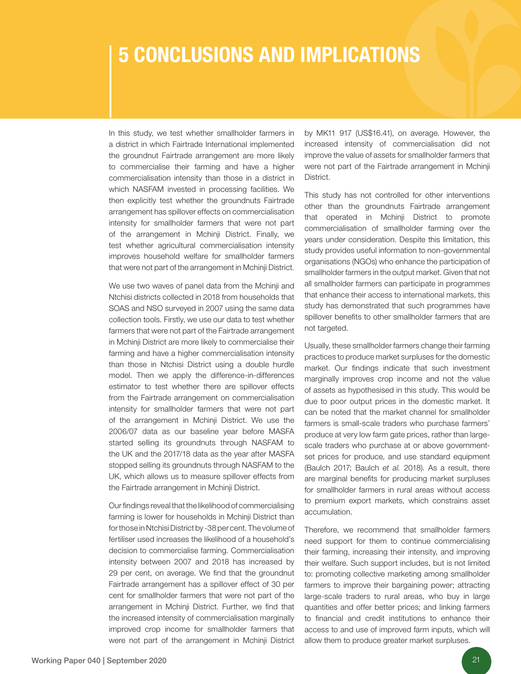# 5 CONCLUSIONS AND IMPLICATIONS

In this study, we test whether smallholder farmers in a district in which Fairtrade International implemented the groundnut Fairtrade arrangement are more likely to commercialise their farming and have a higher commercialisation intensity than those in a district in which NASFAM invested in processing facilities. We then explicitly test whether the groundnuts Fairtrade arrangement has spillover effects on commercialisation intensity for smallholder farmers that were not part of the arrangement in Mchinji District. Finally, we test whether agricultural commercialisation intensity improves household welfare for smallholder farmers that were not part of the arrangement in Mchinji District.

We use two waves of panel data from the Mchinji and Ntchisi districts collected in 2018 from households that SOAS and NSO surveyed in 2007 using the same data collection tools. Firstly, we use our data to test whether farmers that were not part of the Fairtrade arrangement in Mchinji District are more likely to commercialise their farming and have a higher commercialisation intensity than those in Ntchisi District using a double hurdle model. Then we apply the difference-in-differences estimator to test whether there are spillover effects from the Fairtrade arrangement on commercialisation intensity for smallholder farmers that were not part of the arrangement in Mchinji District. We use the 2006/07 data as our baseline year before MASFA started selling its groundnuts through NASFAM to the UK and the 2017/18 data as the year after MASFA stopped selling its groundnuts through NASFAM to the UK, which allows us to measure spillover effects from the Fairtrade arrangement in Mchinji District.

Our findings reveal that the likelihood of commercialising farming is lower for households in Mchinji District than for those in Ntchisi District by -38 per cent. The volume of fertiliser used increases the likelihood of a household's decision to commercialise farming. Commercialisation intensity between 2007 and 2018 has increased by 29 per cent, on average. We find that the groundnut Fairtrade arrangement has a spillover effect of 30 per cent for smallholder farmers that were not part of the arrangement in Mchinji District. Further, we find that the increased intensity of commercialisation marginally improved crop income for smallholder farmers that were not part of the arrangement in Mchinji District

by MK11 917 (US\$16.41), on average. However, the increased intensity of commercialisation did not improve the value of assets for smallholder farmers that were not part of the Fairtrade arrangement in Mchinji District.

This study has not controlled for other interventions other than the groundnuts Fairtrade arrangement that operated in Mchinji District to promote commercialisation of smallholder farming over the years under consideration. Despite this limitation, this study provides useful information to non-governmental organisations (NGOs) who enhance the participation of smallholder farmers in the output market. Given that not all smallholder farmers can participate in programmes that enhance their access to international markets, this study has demonstrated that such programmes have spillover benefits to other smallholder farmers that are not targeted.

Usually, these smallholder farmers change their farming practices to produce market surpluses for the domestic market. Our findings indicate that such investment marginally improves crop income and not the value of assets as hypothesised in this study. This would be due to poor output prices in the domestic market. It can be noted that the market channel for smallholder farmers is small-scale traders who purchase farmers' produce at very low farm gate prices, rather than largescale traders who purchase at or above governmentset prices for produce, and use standard equipment (Baulch 2017; Baulch *et al.* 2018). As a result, there are marginal benefits for producing market surpluses for smallholder farmers in rural areas without access to premium export markets, which constrains asset accumulation.

Therefore, we recommend that smallholder farmers need support for them to continue commercialising their farming, increasing their intensity, and improving their welfare. Such support includes, but is not limited to: promoting collective marketing among smallholder farmers to improve their bargaining power; attracting large-scale traders to rural areas, who buy in large quantities and offer better prices; and linking farmers to financial and credit institutions to enhance their access to and use of improved farm inputs, which will allow them to produce greater market surpluses.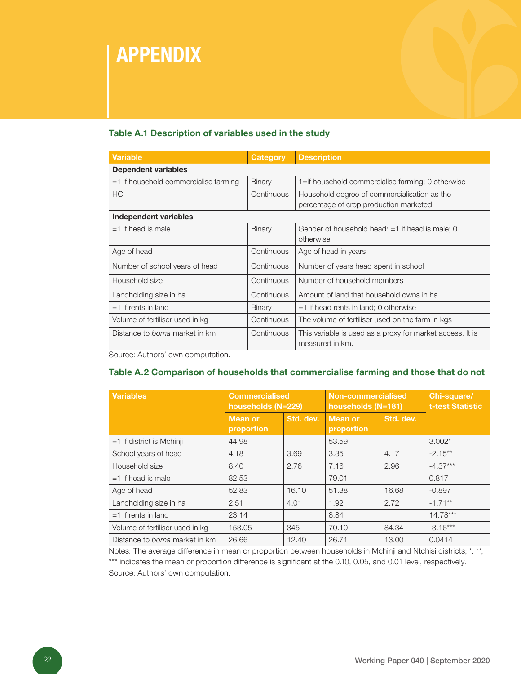# APPENDIX

### Table A.1 Description of variables used in the study

| <b>Variable</b>                         | Category   | <b>Description</b>                                        |
|-----------------------------------------|------------|-----------------------------------------------------------|
| <b>Dependent variables</b>              |            |                                                           |
| $=1$ if household commercialise farming | Binary     | 1=if household commercialise farming; 0 otherwise         |
| <b>HCI</b>                              | Continuous | Household degree of commercialisation as the              |
|                                         |            | percentage of crop production marketed                    |
| Independent variables                   |            |                                                           |
| $=1$ if head is male                    | Binary     | Gender of household head: $=1$ if head is male; 0         |
|                                         |            | otherwise                                                 |
| Age of head                             | Continuous | Age of head in years                                      |
| Number of school years of head          | Continuous | Number of years head spent in school                      |
| Household size                          | Continuous | Number of household members                               |
| Landholding size in ha                  | Continuous | Amount of land that household owns in ha                  |
| $=1$ if rents in land                   | Binary     | $=1$ if head rents in land; 0 otherwise                   |
| Volume of fertiliser used in kg         | Continuous | The volume of fertiliser used on the farm in kgs          |
| Distance to <i>boma</i> market in km    | Continuous | This variable is used as a proxy for market access. It is |
|                                         |            | measured in km.                                           |

Source: Authors' own computation.

#### Table A.2 Comparison of households that commercialise farming and those that do not

| <b>Variables</b>                | <b>Commercialised</b><br>households (N=229) |           | <b>Non-commercialised</b><br>households (N=181) |           | Chi-square/<br><b>t-test Statistic</b> |
|---------------------------------|---------------------------------------------|-----------|-------------------------------------------------|-----------|----------------------------------------|
|                                 | <b>Mean or</b><br>proportion                | Std. dev. | <b>Mean or</b><br>proportion                    | Std. dev. |                                        |
| $=1$ if district is Mchinji     | 44.98                                       |           | 53.59                                           |           | $3.002*$                               |
| School years of head            | 4.18                                        | 3.69      | 3.35                                            | 4.17      | $-2.15***$                             |
| Household size                  | 8.40                                        | 2.76      | 7.16                                            | 2.96      | $-4.37***$                             |
| $=1$ if head is male            | 82.53                                       |           | 79.01                                           |           | 0.817                                  |
| Age of head                     | 52.83                                       | 16.10     | 51.38                                           | 16.68     | $-0.897$                               |
| Landholding size in ha          | 2.51                                        | 4.01      | 1.92                                            | 2.72      | $-1.71**$                              |
| $=1$ if rents in land           | 23.14                                       |           | 8.84                                            |           | $14.78***$                             |
| Volume of fertiliser used in kg | 153.05                                      | 345       | 70.10                                           | 84.34     | $-3.16***$                             |
| Distance to boma market in km   | 26.66                                       | 12.40     | 26.71                                           | 13.00     | 0.0414                                 |

Notes: The average difference in mean or proportion between households in Mchinji and Ntchisi districts; \*, \*\*, \*\*\* indicates the mean or proportion difference is significant at the 0.10, 0.05, and 0.01 level, respectively. Source: Authors' own computation.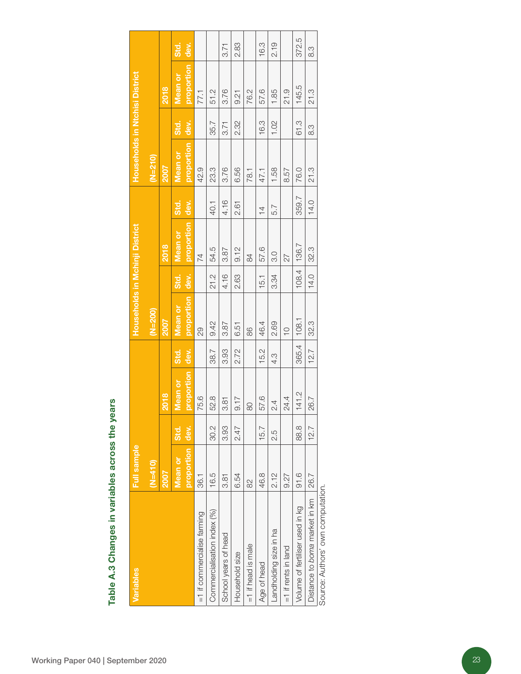| Variables                               | <b>Full sample</b> |      |            |       | Households in Mchinji District |             |                |                | Households in Ntchisi District |      |                |  |
|-----------------------------------------|--------------------|------|------------|-------|--------------------------------|-------------|----------------|----------------|--------------------------------|------|----------------|--|
|                                         | $(M=410)$          |      |            |       | $(N=200)$                      |             |                |                | $(N=210)$                      |      |                |  |
| <b>ZOO7</b>                             |                    |      | 2018       |       | <b>2007</b>                    |             | 2018           |                | <b>ZOO7</b>                    |      | 2018           |  |
|                                         | Mean or            | Std. | Mean or    | Std.  | <b>Mean or</b>                 | Std.        | <b>Mean or</b> | Std.           | <b>Mean or</b>                 | Std. | <b>Mean or</b> |  |
|                                         | proportion         | dev. | proportion | dev.  | proportion                     | dev.        | proportion     | dev.           | proportion                     | dev. | proportion     |  |
| 36.1<br>=1 if commercialise farming     |                    |      | 75.6       |       | 29                             |             | $\overline{7}$ |                | 42.9                           |      | 77.1           |  |
| 16.5<br>Commercialisation index (%)     |                    | 30.2 | 52.8       | 38.7  | 9.42                           | 21.2        | 54.5           | 40.1           | 23.3                           | 35.7 | 51.2           |  |
| 3.81<br>School years of head            |                    | 3.93 | 3.81       | 3.93  | 3.87                           | 4.16        | 3.87           | 4.16           | 3.76                           | 3.71 | 3.76           |  |
| 6.54<br>Household size                  |                    | 2.47 | 9.17       | 2.72  | 6.51                           | 2.63        | 9.12           | 2.61           | 6.56                           | 2.32 | 9.21           |  |
| $\approx$<br>$=1$ if head is male       |                    |      | $\infty$   |       | 86                             |             | 84             |                | 78.1                           |      | 76.2           |  |
| 46.8<br>Age of head                     |                    | 15.7 | 57.6       | 15.2  | 46.4                           | 15.1        | 57.6           | $\overline{4}$ | 47.1                           | 16.3 | 57.6           |  |
| 2.12<br>Landholding size in ha          |                    | 2.5  | 2.4        | 4.3   | 2.69                           | 3.34        | 3.0            | 5.7            | 1.58                           | 1.02 | 1.85           |  |
| 9.27<br>$=1$ if rents in land           |                    |      | 24.4       |       | $\overline{C}$                 |             | 27             |                | 8.57                           |      | 21.9           |  |
| 91.6<br>Volume of fertiliser used in kg |                    | 88.8 | 141.2      | 365.4 | 108.1                          | 108.4       | 136.7          | 359.7          | 76.0                           | 61.3 | 145.5          |  |
| 26.7<br>Distance to boma market in km   |                    | 12.7 | 26.7       | 12.7  | 32.3                           | <b>14.0</b> | 32.3           | <b>14.0</b>    | 21.3                           | 8.3  | 21.3           |  |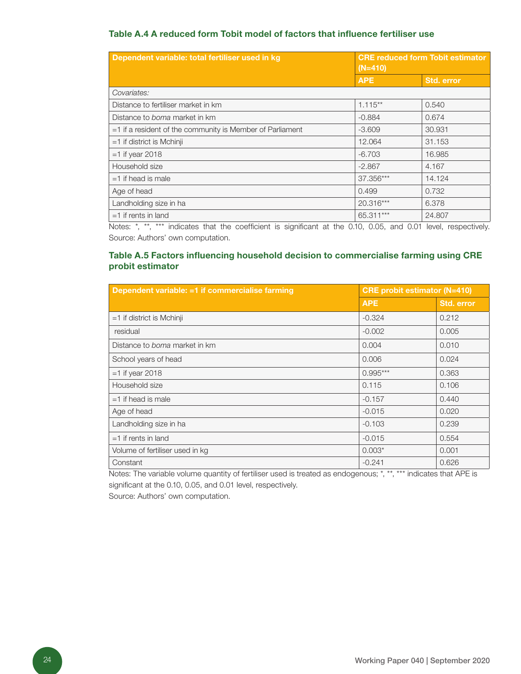#### Table A.4 A reduced form Tobit model of factors that influence fertiliser use

| Dependent variable: total fertiliser used in kg              | $(N=410)$  | <b>CRE reduced form Tobit estimator</b> |  |
|--------------------------------------------------------------|------------|-----------------------------------------|--|
|                                                              | <b>APE</b> | <b>Std. error</b>                       |  |
| Covariates:                                                  |            |                                         |  |
| Distance to fertiliser market in km                          | $1.115**$  | 0.540                                   |  |
| Distance to <i>boma</i> market in km                         | $-0.884$   | 0.674                                   |  |
| $=$ 1 if a resident of the community is Member of Parliament | $-3.609$   | 30.931                                  |  |
| $=1$ if district is Mchinji                                  | 12.064     | 31.153                                  |  |
| $=1$ if year 2018                                            | $-6.703$   | 16.985                                  |  |
| Household size                                               | $-2.867$   | 4.167                                   |  |
| $=1$ if head is male                                         | 37.356***  | 14.124                                  |  |
| Age of head                                                  | 0.499      | 0.732                                   |  |
| Landholding size in ha                                       | 20.316***  | 6.378                                   |  |
| if rents in land<br>$=1$                                     | 65.311***  | 24,807                                  |  |

Notes: \*, \*\*, \*\*\* indicates that the coefficient is significant at the 0.10, 0.05, and 0.01 level, respectively. Source: Authors' own computation.

### Table A.5 Factors influencing household decision to commercialise farming using CRE probit estimator

| Dependent variable: =1 if commercialise farming | <b>CRE probit estimator (N=410)</b> |            |
|-------------------------------------------------|-------------------------------------|------------|
|                                                 | <b>APE</b>                          | Std. error |
| $=1$ if district is Mchinji                     | $-0.324$                            | 0.212      |
| residual                                        | $-0.002$                            | 0.005      |
| Distance to boma market in km                   | 0.004                               | 0.010      |
| School years of head                            | 0.006                               | 0.024      |
| $=1$ if year 2018                               | $0.995***$                          | 0.363      |
| Household size                                  | 0.115                               | 0.106      |
| $=1$ if head is male                            | $-0.157$                            | 0.440      |
| Age of head                                     | $-0.015$                            | 0.020      |
| Landholding size in ha                          | $-0.103$                            | 0.239      |
| $=1$ if rents in land                           | $-0.015$                            | 0.554      |
| Volume of fertiliser used in kg                 | $0.003*$                            | 0.001      |
| Constant                                        | $-0.241$                            | 0.626      |

Notes: The variable volume quantity of fertiliser used is treated as endogenous; \*, \*\*, \*\*\* indicates that APE is significant at the 0.10, 0.05, and 0.01 level, respectively.

Source: Authors' own computation.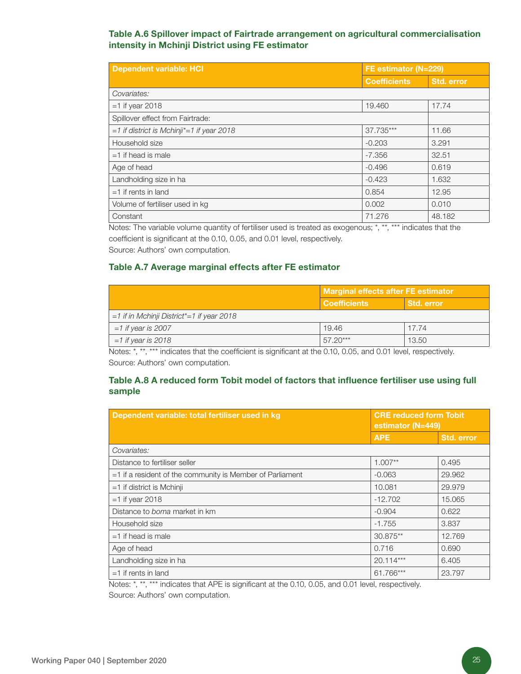### Table A.6 Spillover impact of Fairtrade arrangement on agricultural commercialisation intensity in Mchinji District using FE estimator

| <b>Dependent variable: HCI</b>              |                     |            | FE estimator (N=229) |
|---------------------------------------------|---------------------|------------|----------------------|
|                                             | <b>Coefficients</b> | Std. error |                      |
| Covariates:                                 |                     |            |                      |
| $=1$ if year 2018                           | 19.460              | 17.74      |                      |
| Spillover effect from Fairtrade:            |                     |            |                      |
| $=1$ if district is Mchinji*=1 if year 2018 | 37.735***           | 11.66      |                      |
| Household size                              | $-0.203$            | 3.291      |                      |
| $=1$ if head is male                        | $-7.356$            | 32.51      |                      |
| Age of head                                 | $-0.496$            | 0.619      |                      |
| Landholding size in ha                      | $-0.423$            | 1.632      |                      |
| $=1$ if rents in land                       | 0.854               | 12.95      |                      |
| Volume of fertiliser used in kg             | 0.002               | 0.010      |                      |
| Constant                                    | 71.276              | 48.182     |                      |

Notes: The variable volume quantity of fertiliser used is treated as exogenous; \*, \*\*, \*\*\* indicates that the coefficient is significant at the 0.10, 0.05, and 0.01 level, respectively.

Source: Authors' own computation.

#### Table A.7 Average marginal effects after FE estimator

|                                                | <b>Marginal effects after FE estimator</b> |                   |
|------------------------------------------------|--------------------------------------------|-------------------|
|                                                | <b>Coefficients</b>                        | <b>Std. error</b> |
| $=1$ if in Mchinji District* $=1$ if year 2018 |                                            |                   |
| $=1$ if year is 2007                           | 19.46                                      | 17.74             |
| $=1$ if year is 2018                           | $57.20***$                                 | 13.50             |

Notes: \*, \*\*, \*\*\* indicates that the coefficient is significant at the 0.10, 0.05, and 0.01 level, respectively. Source: Authors' own computation.

#### Table A.8 A reduced form Tobit model of factors that influence fertiliser use using full sample

| Dependent variable: total fertiliser used in kg             | <b>CRE reduced form Tobit</b><br>estimator (N=449) |            |  |  |
|-------------------------------------------------------------|----------------------------------------------------|------------|--|--|
|                                                             | <b>APE</b>                                         | Std. error |  |  |
| Covariates:                                                 |                                                    |            |  |  |
| Distance to fertiliser seller                               | $1.007**$                                          | 0.495      |  |  |
| $=1$ if a resident of the community is Member of Parliament | $-0.063$                                           | 29,962     |  |  |
| $=1$ if district is Mchinji                                 | 10.081                                             | 29.979     |  |  |
| $=1$ if year 2018                                           | $-12.702$                                          | 15.065     |  |  |
| Distance to <i>boma</i> market in km                        | $-0.904$                                           | 0.622      |  |  |
| Household size                                              | $-1.755$                                           | 3.837      |  |  |
| $=1$ if head is male                                        | $30.875**$                                         | 12.769     |  |  |
| Age of head                                                 | 0.716                                              | 0.690      |  |  |
| Landholding size in ha                                      | $20.114***$                                        | 6.405      |  |  |
| $=1$ if rents in land                                       | 61.766***                                          | 23.797     |  |  |

Notes: \*, \*\*, \*\*\* indicates that APE is significant at the 0.10, 0.05, and 0.01 level, respectively. Source: Authors' own computation.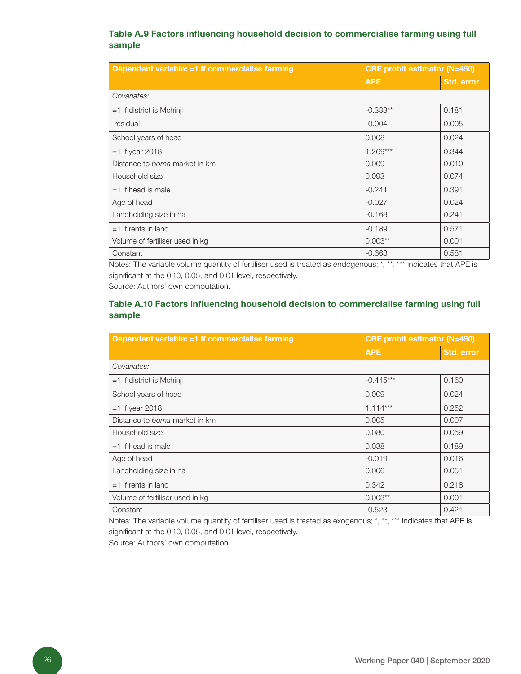#### Table A.9 Factors influencing household decision to commercialise farming using full sample

| Dependent variable: =1 if commercialise farming | <b>CRE probit estimator (N=450)</b> |            |
|-------------------------------------------------|-------------------------------------|------------|
|                                                 | <b>APE</b>                          | Std. error |
| Covariates:                                     |                                     |            |
| $=1$ if district is Mchinji                     | $-0.383**$                          | 0.181      |
| residual                                        | $-0.004$                            | 0.005      |
| School years of head                            | 0.008                               | 0.024      |
| $=1$ if year 2018                               | $1.269***$                          | 0.344      |
| Distance to boma market in km                   | 0.009                               | 0.010      |
| Household size                                  | 0.093                               | 0.074      |
| $=1$ if head is male                            | $-0.241$                            | 0.391      |
| Age of head                                     | $-0.027$                            | 0.024      |
| Landholding size in ha                          | $-0.168$                            | 0.241      |
| $=1$ if rents in land                           | $-0.189$                            | 0.571      |
| Volume of fertiliser used in kg                 | $0.003**$                           | 0.001      |
| Constant                                        | $-0.663$                            | 0.581      |

Notes: The variable volume quantity of fertiliser used is treated as endogenous; \*, \*\*, \*\*\* indicates that APE is significant at the 0.10, 0.05, and 0.01 level, respectively.

Source: Authors' own computation.

### Table A.10 Factors influencing household decision to commercialise farming using full sample

| Dependent variable: =1 if commercialise farming | <b>CRE probit estimator (N=450)</b> |            |
|-------------------------------------------------|-------------------------------------|------------|
|                                                 | <b>APE</b>                          | Std. error |
| Covariates:                                     |                                     |            |
| $=1$ if district is Mchinji                     | $-0.445***$                         | 0.160      |
| School years of head                            | 0.009                               | 0.024      |
| $=1$ if year 2018                               | $1.114***$                          | 0.252      |
| Distance to <i>boma</i> market in km            | 0.005                               | 0.007      |
| Household size                                  | 0.080                               | 0.059      |
| $=1$ if head is male                            | 0.038                               | 0.189      |
| Age of head                                     | $-0.019$                            | 0.016      |
| Landholding size in ha                          | 0.006                               | 0.051      |
| $=1$ if rents in land                           | 0.342                               | 0.218      |
| Volume of fertiliser used in kg                 | $0.003**$                           | 0.001      |
| Constant                                        | $-0.523$                            | 0.421      |

Notes: The variable volume quantity of fertiliser used is treated as exogenous; \*, \*\*, \*\*\* indicates that APE is significant at the 0.10, 0.05, and 0.01 level, respectively. Source: Authors' own computation.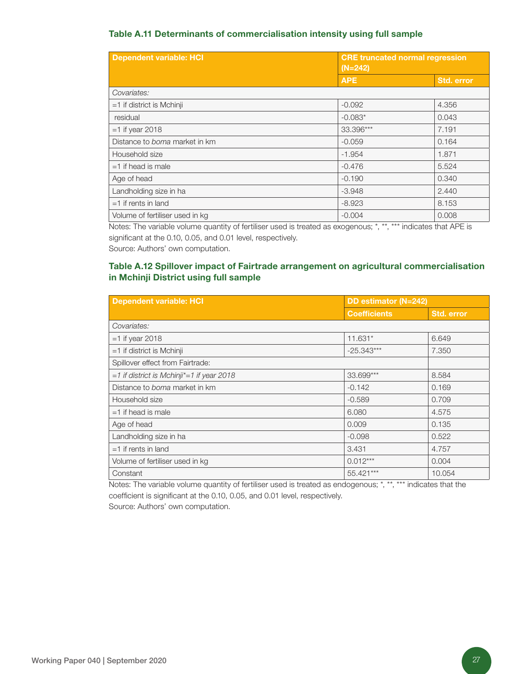#### Table A.11 Determinants of commercialisation intensity using full sample

| <b>Dependent variable: HCI</b>  | <b>CRE</b> truncated normal regression<br>$(N=242)$ |                   |
|---------------------------------|-----------------------------------------------------|-------------------|
|                                 | <b>APE</b>                                          | <b>Std. error</b> |
| Covariates:                     |                                                     |                   |
| $=1$ if district is Mchinji     | $-0.092$                                            | 4.356             |
| residual                        | $-0.083*$                                           | 0.043             |
| $=1$ if year 2018               | 33.396***                                           | 7.191             |
| Distance to boma market in km   | $-0.059$                                            | 0.164             |
| Household size                  | $-1.954$                                            | 1.871             |
| $=1$ if head is male            | $-0.476$                                            | 5.524             |
| Age of head                     | $-0.190$                                            | 0.340             |
| Landholding size in ha          | $-3.948$                                            | 2.440             |
| $=1$ if rents in land           | $-8.923$                                            | 8.153             |
| Volume of fertiliser used in kg | $-0.004$                                            | 0.008             |

Notes: The variable volume quantity of fertiliser used is treated as exogenous; \*, \*\*, \*\*\* indicates that APE is significant at the 0.10, 0.05, and 0.01 level, respectively.

Source: Authors' own computation.

### Table A.12 Spillover impact of Fairtrade arrangement on agricultural commercialisation in Mchinji District using full sample

| <b>Dependent variable: HCI</b>                | DD estimator (N=242) |                   |
|-----------------------------------------------|----------------------|-------------------|
|                                               | <b>Coefficients</b>  | <b>Std. error</b> |
| Covariates:                                   |                      |                   |
| $=1$ if year 2018                             | 11.631*              | 6.649             |
| $=1$ if district is Mchinji                   | $-25.343***$         | 7.350             |
| Spillover effect from Fairtrade:              |                      |                   |
| $=1$ if district is Mchinji* = 1 if year 2018 | 33.699***            | 8.584             |
| Distance to <i>boma</i> market in km          | $-0.142$             | 0.169             |
| Household size                                | $-0.589$             | 0.709             |
| $=1$ if head is male                          | 6.080                | 4.575             |
| Age of head                                   | 0.009                | 0.135             |
| Landholding size in ha                        | $-0.098$             | 0.522             |
| $=1$ if rents in land                         | 3.431                | 4.757             |
| Volume of fertiliser used in kg               | $0.012***$           | 0.004             |
| Constant                                      | 55.421***            | 10.054            |

Notes: The variable volume quantity of fertiliser used is treated as endogenous; \*, \*\*, \*\*\* indicates that the coefficient is significant at the 0.10, 0.05, and 0.01 level, respectively.

Source: Authors' own computation.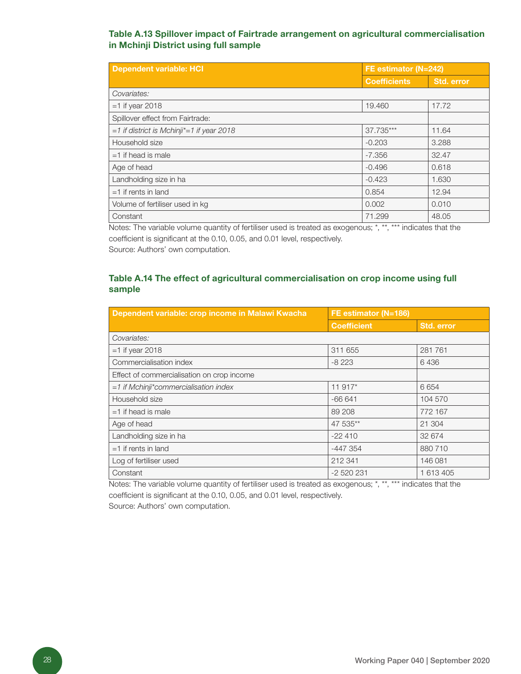#### Table A.13 Spillover impact of Fairtrade arrangement on agricultural commercialisation in Mchinji District using full sample

| <b>Dependent variable: HCI</b>                | FE estimator (N=242) |            |
|-----------------------------------------------|----------------------|------------|
|                                               | <b>Coefficients</b>  | Std. error |
| Covariates:                                   |                      |            |
| $=1$ if year 2018                             | 19,460               | 17.72      |
| Spillover effect from Fairtrade:              |                      |            |
| $=1$ if district is Mchinji* = 1 if year 2018 | 37.735***            | 11.64      |
| Household size                                | $-0.203$             | 3.288      |
| $=1$ if head is male                          | $-7.356$             | 32.47      |
| Age of head                                   | $-0.496$             | 0.618      |
| Landholding size in ha                        | $-0.423$             | 1.630      |
| $=1$ if rents in land                         | 0.854                | 12.94      |
| Volume of fertiliser used in kg               | 0.002                | 0.010      |
| Constant                                      | 71.299               | 48.05      |

Notes: The variable volume quantity of fertiliser used is treated as exogenous; \*, \*\*, \*\*\* indicates that the coefficient is significant at the 0.10, 0.05, and 0.01 level, respectively.

Source: Authors' own computation.

### Table A.14 The effect of agricultural commercialisation on crop income using full sample

| Dependent variable: crop income in Malawi Kwacha | FE estimator (N=186) |            |
|--------------------------------------------------|----------------------|------------|
|                                                  | <b>Coefficient</b>   | Std. error |
| Covariates:                                      |                      |            |
| $=1$ if year 2018                                | 311 655              | 281 761    |
| Commercialisation index                          | $-8223$              | 6436       |
| Effect of commercialisation on crop income       |                      |            |
| $=1$ if Mchinji*commercialisation index          | 11 917*              | 6654       |
| Household size                                   | $-66641$             | 104 570    |
| $=1$ if head is male                             | 89 208               | 772 167    |
| Age of head                                      | 47 535**             | 21 304     |
| Landholding size in ha                           | $-22410$             | 32 674     |
| $=1$ if rents in land                            | $-447354$            | 880 710    |
| Log of fertiliser used                           | 212 341              | 146 081    |
| Constant                                         | -2 520 231           | 1 613 405  |

Notes: The variable volume quantity of fertiliser used is treated as exogenous; \*, \*\*, \*\*\* indicates that the coefficient is significant at the 0.10, 0.05, and 0.01 level, respectively.

Source: Authors' own computation.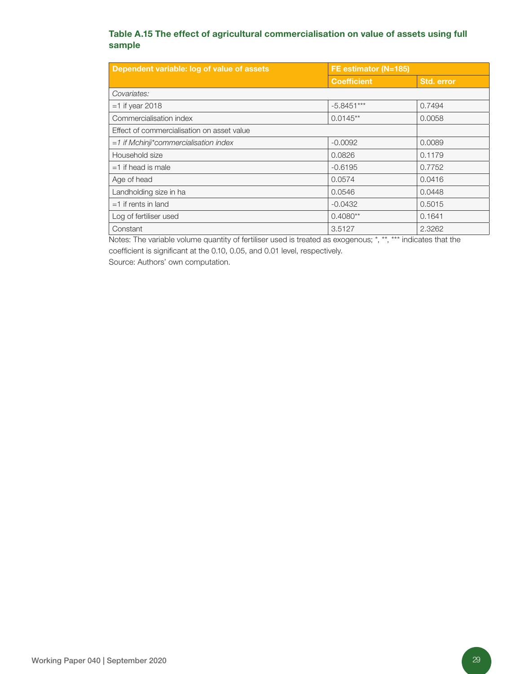### Table A.15 The effect of agricultural commercialisation on value of assets using full sample

| Dependent variable: log of value of assets | FE estimator (N=185) |            |
|--------------------------------------------|----------------------|------------|
|                                            | <b>Coefficient</b>   | Std. error |
| Covariates:                                |                      |            |
| $=1$ if year 2018                          | $-5.8451***$         | 0.7494     |
| Commercialisation index                    | $0.0145**$           | 0.0058     |
| Effect of commercialisation on asset value |                      |            |
| $=1$ if Mchinji*commercialisation index    | $-0.0092$            | 0.0089     |
| Household size                             | 0.0826               | 0.1179     |
| $=1$ if head is male                       | $-0.6195$            | 0.7752     |
| Age of head                                | 0.0574               | 0.0416     |
| Landholding size in ha                     | 0.0546               | 0.0448     |
| $=1$ if rents in land                      | $-0.0432$            | 0.5015     |
| Log of fertiliser used                     | $0.4080**$           | 0.1641     |
| Constant                                   | 3.5127               | 2.3262     |

Notes: The variable volume quantity of fertiliser used is treated as exogenous; \*, \*\*, \*\*\* indicates that the coefficient is significant at the 0.10, 0.05, and 0.01 level, respectively. Source: Authors' own computation.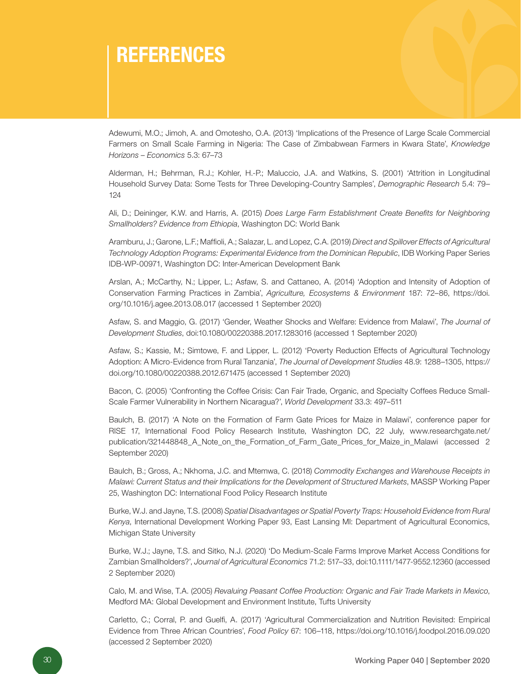# **REFERENCES**

Adewumi, M.O.; Jimoh, A. and Omotesho, O.A. (2013) 'Implications of the Presence of Large Scale Commercial Farmers on Small Scale Farming in Nigeria: The Case of Zimbabwean Farmers in Kwara State', *Knowledge Horizons – Economics* 5.3: 67–73

Alderman, H.; Behrman, R.J.; Kohler, H.-P.; Maluccio, J.A. and Watkins, S. (2001) 'Attrition in Longitudinal Household Survey Data: Some Tests for Three Developing-Country Samples', *Demographic Research* 5.4: 79– 124

Ali, D.; Deininger, K.W. and Harris, A. (2015) *Does Large Farm Establishment Create Benefits for Neighboring Smallholders? Evidence from Ethiopia*, Washington DC: World Bank

Aramburu, J.; Garone, L.F.; Maffioli, A.; Salazar, L. and Lopez, C.A. (2019) *Direct and Spillover Effects of Agricultural Technology Adoption Programs: Experimental Evidence from the Dominican Republic*, IDB Working Paper Series IDB-WP-00971, Washington DC: Inter-American Development Bank

Arslan, A.; McCarthy, N.; Lipper, L.; Asfaw, S. and Cattaneo, A. (2014) 'Adoption and Intensity of Adoption of Conservation Farming Practices in Zambia', *Agriculture, Ecosystems & Environment* 187: 72–86, https://doi. org/10.1016/j.agee.2013.08.017 (accessed 1 September 2020)

Asfaw, S. and Maggio, G. (2017) 'Gender, Weather Shocks and Welfare: Evidence from Malawi', *The Journal of Development Studies*, doi:10.1080/00220388.2017.1283016 (accessed 1 September 2020)

Asfaw, S.; Kassie, M.; Simtowe, F. and Lipper, L. (2012) 'Poverty Reduction Effects of Agricultural Technology Adoption: A Micro-Evidence from Rural Tanzania', *The Journal of Development Studies* 48.9: 1288–1305, https:// doi.org/10.1080/00220388.2012.671475 (accessed 1 September 2020)

Bacon, C. (2005) 'Confronting the Coffee Crisis: Can Fair Trade, Organic, and Specialty Coffees Reduce Small-Scale Farmer Vulnerability in Northern Nicaragua?', *World Development* 33.3: 497–511

Baulch, B. (2017) 'A Note on the Formation of Farm Gate Prices for Maize in Malawi', conference paper for RISE 17, International Food Policy Research Institute, Washington DC, 22 July, www.researchgate.net/ publication/321448848\_A\_Note\_on\_the\_Formation\_of\_Farm\_Gate\_Prices\_for\_Maize\_in\_Malawi (accessed 2 September 2020)

Baulch, B.; Gross, A.; Nkhoma, J.C. and Mtemwa, C. (2018) *Commodity Exchanges and Warehouse Receipts in Malawi: Current Status and their Implications for the Development of Structured Markets*, MASSP Working Paper 25, Washington DC: International Food Policy Research Institute

Burke, W.J. and Jayne, T.S. (2008) *Spatial Disadvantages or Spatial Poverty Traps: Household Evidence from Rural Kenya*, International Development Working Paper 93, East Lansing MI: Department of Agricultural Economics, Michigan State University

Burke, W.J.; Jayne, T.S. and Sitko, N.J. (2020) 'Do Medium-Scale Farms Improve Market Access Conditions for Zambian Smallholders?', *Journal of Agricultural Economics* 71.2: 517–33, doi:10.1111/1477-9552.12360 (accessed 2 September 2020)

Calo, M. and Wise, T.A. (2005) *Revaluing Peasant Coffee Production: Organic and Fair Trade Markets in Mexico*, Medford MA: Global Development and Environment Institute, Tufts University

Carletto, C.; Corral, P. and Guelfi, A. (2017) 'Agricultural Commercialization and Nutrition Revisited: Empirical Evidence from Three African Countries', *Food Policy* 67: 106–118, https://doi.org/10.1016/j.foodpol.2016.09.020 (accessed 2 September 2020)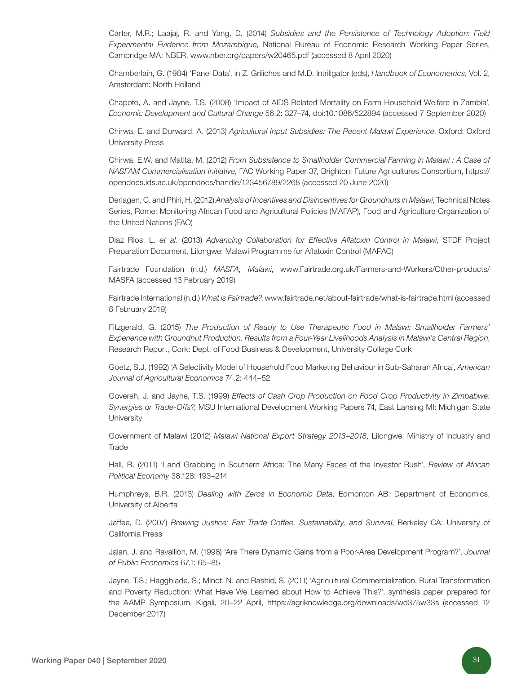Carter, M.R.; Laajaj, R. and Yang, D. (2014) *Subsidies and the Persistence of Technology Adoption: Field Experimental Evidence from Mozambique*, National Bureau of Economic Research Working Paper Series, Cambridge MA: NBER, www.nber.org/papers/w20465.pdf (accessed 8 April 2020)

Chamberlain, G. (1984) 'Panel Data', in Z. Griliches and M.D. Intriligator (eds), *Handbook of Econometrics*, Vol. 2, Amsterdam: North Holland

Chapoto, A. and Jayne, T.S. (2008) 'Impact of AIDS Related Mortality on Farm Household Welfare in Zambia', *Economic Development and Cultural Change* 56.2: 327–74, doi:10.1086/522894 (accessed 7 September 2020)

Chirwa, E. and Dorward, A. (2013) *Agricultural Input Subsidies: The Recent Malawi Experience*, Oxford: Oxford University Press

Chirwa, E.W. and Matita, M. (2012) *From Subsistence to Smallholder Commercial Farming in Malawi : A Case of NASFAM Commercialisation Initiative*, FAC Working Paper 37, Brighton: Future Agricultures Consortium, https:// opendocs.ids.ac.uk/opendocs/handle/123456789/2268 (accessed 20 June 2020)

Derlagen, C. and Phiri, H. (2012) *Analysis of Incentives and Disincentives for Groundnuts in Malawi*, Technical Notes Series, Rome: Monitoring African Food and Agricultural Policies (MAFAP), Food and Agriculture Organization of the United Nations (FAO)

Diaz Rios, L. *et al.* (2013) *Advancing Collaboration for Effective Aflatoxin Control in Malawi*, STDF Project Preparation Document, Lilongwe: Malawi Programme for Aflatoxin Control (MAPAC)

Fairtrade Foundation (n.d.) *MASFA, Malawi*, www.Fairtrade.org.uk/Farmers-and-Workers/Other-products/ MASFA (accessed 13 February 2019)

Fairtrade International (n.d.) *What is Fairtrade?*, www.fairtrade.net/about-fairtrade/what-is-fairtrade.html (accessed 8 February 2019)

Fitzgerald, G. (2015) *The Production of Ready to Use Therapeutic Food in Malawi: Smallholder Farmers' Experience with Groundnut Production. Results from a Four-Year Livelihoods Analysis in Malawi's Central Region*, Research Report, Cork: Dept. of Food Business & Development, University College Cork

Goetz, S.J. (1992) 'A Selectivity Model of Household Food Marketing Behaviour in Sub-Saharan Africa', *American Journal of Agricultural Economics* 74.2: 444–52

Govereh, J. and Jayne, T.S. (1999) *Effects of Cash Crop Production on Food Crop Productivity in Zimbabwe: Synergies or Trade-Offs?*, MSU International Development Working Papers 74, East Lansing MI: Michigan State **University** 

Government of Malawi (2012) *Malawi National Export Strategy 2013–2018*, Lilongwe: Ministry of Industry and **Trade** 

Hall, R. (2011) 'Land Grabbing in Southern Africa: The Many Faces of the Investor Rush', *Review of African Political Economy* 38.128: 193–214

Humphreys, B.R. (2013) *Dealing with Zeros in Economic Data*, Edmonton AB: Department of Economics, University of Alberta

Jaffee, D. (2007) *Brewing Justice: Fair Trade Coffee, Sustainability, and Survival*, Berkeley CA: University of California Press

Jalan, J. and Ravallion, M. (1998) 'Are There Dynamic Gains from a Poor-Area Development Program?', *Journal of Public Economics* 67.1: 65–85

Jayne, T.S.; Haggblade, S.; Minot, N. and Rashid, S. (2011) 'Agricultural Commercialization, Rural Transformation and Poverty Reduction: What Have We Learned about How to Achieve This?', synthesis paper prepared for the AAMP Symposium, Kigali, 20–22 April, https://agriknowledge.org/downloads/wd375w33s (accessed 12 December 2017)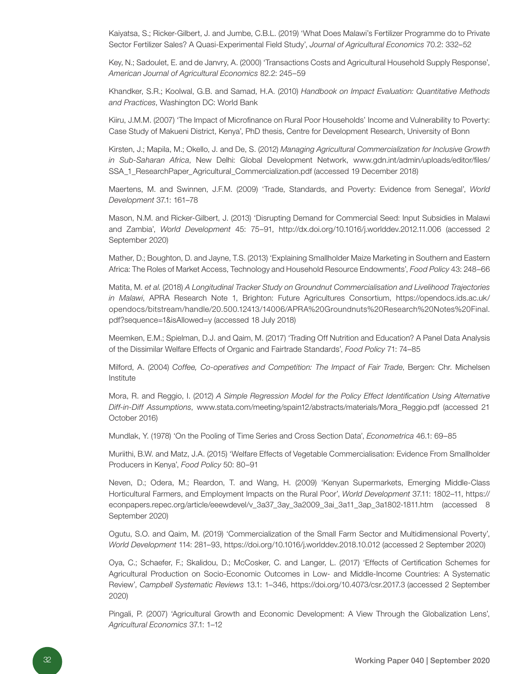Kaiyatsa, S.; Ricker-Gilbert, J. and Jumbe, C.B.L. (2019) 'What Does Malawi's Fertilizer Programme do to Private Sector Fertilizer Sales? A Quasi-Experimental Field Study', *Journal of Agricultural Economics* 70.2: 332–52

Key, N.; Sadoulet, E. and de Janvry, A. (2000) 'Transactions Costs and Agricultural Household Supply Response', *American Journal of Agricultural Economics* 82.2: 245–59

Khandker, S.R.; Koolwal, G.B. and Samad, H.A. (2010) *Handbook on Impact Evaluation: Quantitative Methods and Practices*, Washington DC: World Bank

Kiiru, J.M.M. (2007) 'The Impact of Microfinance on Rural Poor Households' Income and Vulnerability to Poverty: Case Study of Makueni District, Kenya', PhD thesis, Centre for Development Research, University of Bonn

Kirsten, J.; Mapila, M.; Okello, J. and De, S. (2012) *Managing Agricultural Commercialization for Inclusive Growth in Sub-Saharan Africa*, New Delhi: Global Development Network, www.gdn.int/admin/uploads/editor/files/ SSA\_1\_ResearchPaper\_Agricultural\_Commercialization.pdf (accessed 19 December 2018)

Maertens, M. and Swinnen, J.F.M. (2009) 'Trade, Standards, and Poverty: Evidence from Senegal', *World Development* 37.1: 161–78

Mason, N.M. and Ricker-Gilbert, J. (2013) 'Disrupting Demand for Commercial Seed: Input Subsidies in Malawi and Zambia', *World Development* 45: 75–91, http://dx.doi.org/10.1016/j.worlddev.2012.11.006 (accessed 2 September 2020)

Mather, D.; Boughton, D. and Jayne, T.S. (2013) 'Explaining Smallholder Maize Marketing in Southern and Eastern Africa: The Roles of Market Access, Technology and Household Resource Endowments', *Food Policy* 43: 248–66

Matita, M. *et al*. (2018) *A Longitudinal Tracker Study on Groundnut Commercialisation and Livelihood Trajectories in Malawi*, APRA Research Note 1, Brighton: Future Agricultures Consortium, https://opendocs.ids.ac.uk/ opendocs/bitstream/handle/20.500.12413/14006/APRA%20Groundnuts%20Research%20Notes%20Final. pdf?sequence=1&isAllowed=y (accessed 18 July 2018)

Meemken, E.M.; Spielman, D.J. and Qaim, M. (2017) 'Trading Off Nutrition and Education? A Panel Data Analysis of the Dissimilar Welfare Effects of Organic and Fairtrade Standards', *Food Policy* 71: 74–85

Milford, A. (2004) *Coffee, Co-operatives and Competition: The Impact of Fair Trade*, Bergen: Chr. Michelsen Institute

Mora, R. and Reggio, I. (2012) *A Simple Regression Model for the Policy Effect Identification Using Alternative Diff-in-Diff Assumptions*, www.stata.com/meeting/spain12/abstracts/materials/Mora\_Reggio.pdf (accessed 21 October 2016)

Mundlak, Y. (1978) 'On the Pooling of Time Series and Cross Section Data', *Econometrica* 46.1: 69–85

Muriithi, B.W. and Matz, J.A. (2015) 'Welfare Effects of Vegetable Commercialisation: Evidence From Smallholder Producers in Kenya', *Food Policy* 50: 80–91

Neven, D.; Odera, M.; Reardon, T. and Wang, H. (2009) 'Kenyan Supermarkets, Emerging Middle-Class Horticultural Farmers, and Employment Impacts on the Rural Poor', *World Development* 37.11: 1802–11, https:// econpapers.repec.org/article/eeewdevel/v\_3a37\_3ay\_3a2009\_3ai\_3a11\_3ap\_3a1802-1811.htm (accessed 8 September 2020)

Ogutu, S.O. and Qaim, M. (2019) 'Commercialization of the Small Farm Sector and Multidimensional Poverty', *World Development* 114: 281–93, https://doi.org/10.1016/j.worlddev.2018.10.012 (accessed 2 September 2020)

Oya, C.; Schaefer, F.; Skalidou, D.; McCosker, C. and Langer, L. (2017) 'Effects of Certification Schemes for Agricultural Production on Socio-Economic Outcomes in Low- and Middle-Income Countries: A Systematic Review', *Campbell Systematic Reviews* 13.1: 1–346, https://doi.org/10.4073/csr.2017.3 (accessed 2 September 2020)

Pingali, P. (2007) 'Agricultural Growth and Economic Development: A View Through the Globalization Lens', *Agricultural Economics* 37.1: 1–12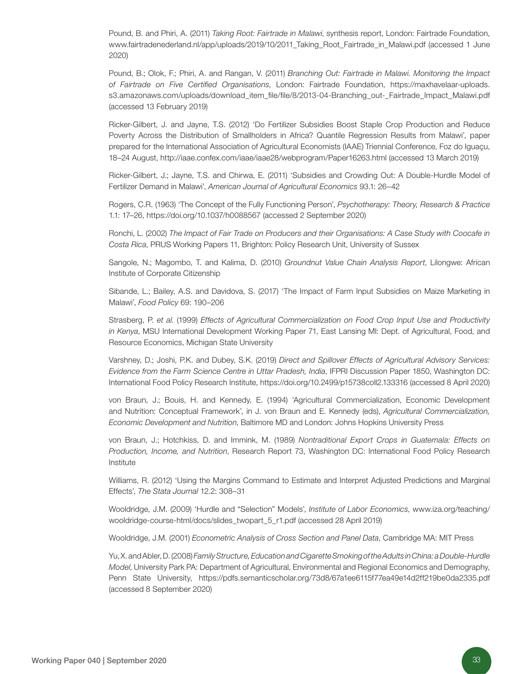Pound, B. and Phiri, A. (2011) *Taking Root: Fairtrade in Malawi*, synthesis report, London: Fairtrade Foundation, www.fairtradenederland.nl/app/uploads/2019/10/2011\_Taking\_Root\_Fairtrade\_in\_Malawi.pdf (accessed 1 June 2020)

Pound, B.; Olok, F.; Phiri, A. and Rangan, V. (2011) *Branching Out: Fairtrade in Malawi. Monitoring the Impact of Fairtrade on Five Certified Organisations*, London: Fairtrade Foundation, https://maxhavelaar-uploads. s3.amazonaws.com/uploads/download\_item\_file/file/8/2013-04-Branching\_out-\_Fairtrade\_Impact\_Malawi.pdf (accessed 13 February 2019)

Ricker-Gilbert, J. and Jayne, T.S. (2012) 'Do Fertilizer Subsidies Boost Staple Crop Production and Reduce Poverty Across the Distribution of Smallholders in Africa? Quantile Regression Results from Malawi', paper prepared for the International Association of Agricultural Economists (IAAE) Triennial Conference, Foz do Iguaçu, 18–24 August, http://iaae.confex.com/iaae/iaae28/webprogram/Paper16263.html (accessed 13 March 2019)

Ricker-Gilbert, J.; Jayne, T.S. and Chirwa, E. (2011) 'Subsidies and Crowding Out: A Double-Hurdle Model of Fertilizer Demand in Malawi', *American Journal of Agricultural Economics* 93.1: 26–42

Rogers, C.R. (1963) 'The Concept of the Fully Functioning Person', *Psychotherapy: Theory, Research & Practice* 1.1: 17–26, https://doi.org/10.1037/h0088567 (accessed 2 September 2020)

Ronchi, L. (2002) *The Impact of Fair Trade on Producers and their Organisations: A Case Study with Coocafe in Costa Rica*, PRUS Working Papers 11, Brighton: Policy Research Unit, University of Sussex

Sangole, N.; Magombo, T. and Kalima, D. (2010) *Groundnut Value Chain Analysis Report*, Lilongwe: African Institute of Corporate Citizenship

Sibande, L.; Bailey, A.S. and Davidova, S. (2017) 'The Impact of Farm Input Subsidies on Maize Marketing in Malawi', *Food Policy* 69: 190–206

Strasberg, P. *et al*. (1999) *Effects of Agricultural Commercialization on Food Crop Input Use and Productivity in Kenya*, MSU International Development Working Paper 71, East Lansing MI: Dept. of Agricultural, Food, and Resource Economics, Michigan State University

Varshney, D.; Joshi, P.K. and Dubey, S.K. (2019) *Direct and Spillover Effects of Agricultural Advisory Services: Evidence from the Farm Science Centre in Uttar Pradesh, India*, IFPRI Discussion Paper 1850, Washington DC: International Food Policy Research Institute, https://doi.org/10.2499/p15738coll2.133316 (accessed 8 April 2020)

von Braun, J.; Bouis, H. and Kennedy, E. (1994) 'Agricultural Commercialization, Economic Development and Nutrition: Conceptual Framework', in J. von Braun and E. Kennedy (eds), *Agricultural Commercialization, Economic Development and Nutrition*, Baltimore MD and London: Johns Hopkins University Press

von Braun, J.; Hotchkiss, D. and Immink, M. (1989) *Nontraditional Export Crops in Guatemala: Effects on Production, Income, and Nutrition*, Research Report 73, Washington DC: International Food Policy Research Institute

Williams, R. (2012) 'Using the Margins Command to Estimate and Interpret Adjusted Predictions and Marginal Effects', *The Stata Journal* 12.2: 308–31

Wooldridge, J.M. (2009) 'Hurdle and "Selection" Models', *Institute of Labor Economics*, www.iza.org/teaching/ wooldridge-course-html/docs/slides\_twopart\_5\_r1.pdf (accessed 28 April 2019)

Wooldridge, J.M. (2001) *Econometric Analysis of Cross Section and Panel Data*, Cambridge MA: MIT Press

Yu, X. and Abler, D. (2008) *Family Structure, Education and Cigarette Smoking of the Adults in China: a Double-Hurdle Model*, University Park PA: Department of Agricultural, Environmental and Regional Economics and Demography, Penn State University, https://pdfs.semanticscholar.org/73d8/67a1ee6115f77ea49e14d2ff219be0da2335.pdf (accessed 8 September 2020)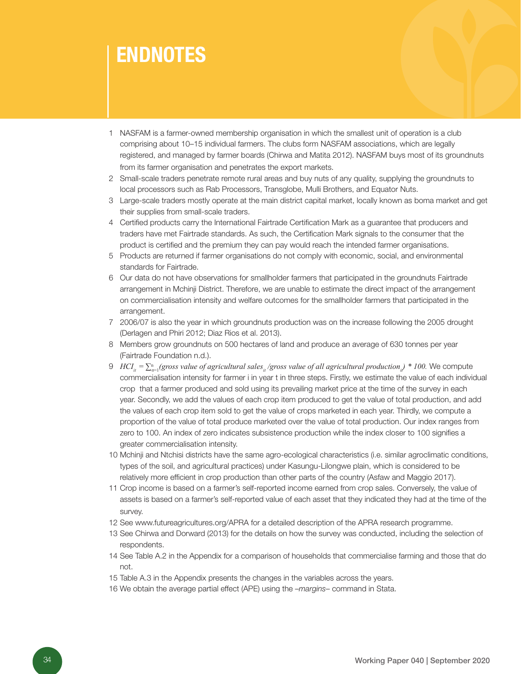# ENDNOTES

- 1 NASFAM is a farmer-owned membership organisation in which the smallest unit of operation is a club comprising about 10–15 individual farmers. The clubs form NASFAM associations, which are legally registered, and managed by farmer boards (Chirwa and Matita 2012). NASFAM buys most of its groundnuts from its farmer organisation and penetrates the export markets.
- 2 Small-scale traders penetrate remote rural areas and buy nuts of any quality, supplying the groundnuts to local processors such as Rab Processors, Transglobe, Mulli Brothers, and Equator Nuts.
- 3 Large-scale traders mostly operate at the main district capital market, locally known as boma market and get their supplies from small-scale traders.
- 4 Certified products carry the International Fairtrade Certification Mark as a guarantee that producers and traders have met Fairtrade standards. As such, the Certification Mark signals to the consumer that the product is certified and the premium they can pay would reach the intended farmer organisations.
- 5 Products are returned if farmer organisations do not comply with economic, social, and environmental standards for Fairtrade.
- 6 Our data do not have observations for smallholder farmers that participated in the groundnuts Fairtrade arrangement in Mchinji District. Therefore, we are unable to estimate the direct impact of the arrangement on commercialisation intensity and welfare outcomes for the smallholder farmers that participated in the arrangement.
- 7 2006/07 is also the year in which groundnuts production was on the increase following the 2005 drought (Derlagen and Phiri 2012; Diaz Rios et al. 2013).
- 8 Members grow groundnuts on 500 hectares of land and produce an average of 630 tonnes per year (Fairtrade Foundation n.d.).
- *S*  $HCI<sub>ii</sub> = ∑<sub>n=1</sub><sup>n</sup> (gross value of agricultural sales<sub>i</sub> / gross value of all agricultural production<sub>i</sub>) * 100. We compute$ commercialisation intensity for farmer i in year t in three steps. Firstly, we estimate the value of each individual crop that a farmer produced and sold using its prevailing market price at the time of the survey in each year. Secondly, we add the values of each crop item produced to get the value of total production, and add the values of each crop item sold to get the value of crops marketed in each year. Thirdly, we compute a proportion of the value of total produce marketed over the value of total production. Our index ranges from zero to 100. An index of zero indicates subsistence production while the index closer to 100 signifies a greater commercialisation intensity.
- 10 Mchinji and Ntchisi districts have the same agro-ecological characteristics (i.e. similar agroclimatic conditions, types of the soil, and agricultural practices) under Kasungu-Lilongwe plain, which is considered to be relatively more efficient in crop production than other parts of the country (Asfaw and Maggio 2017).
- 11 Crop income is based on a farmer's self-reported income earned from crop sales. Conversely, the value of assets is based on a farmer's self-reported value of each asset that they indicated they had at the time of the survev.
- 12 See www.futureagricultures.org/APRA for a detailed description of the APRA research programme.
- 13 See Chirwa and Dorward (2013) for the details on how the survey was conducted, including the selection of respondents.
- 14 See Table A.2 in the Appendix for a comparison of households that commercialise farming and those that do not.
- 15 Table A.3 in the Appendix presents the changes in the variables across the years.
- 16 We obtain the average partial effect (APE) using the –*margins* command in Stata.